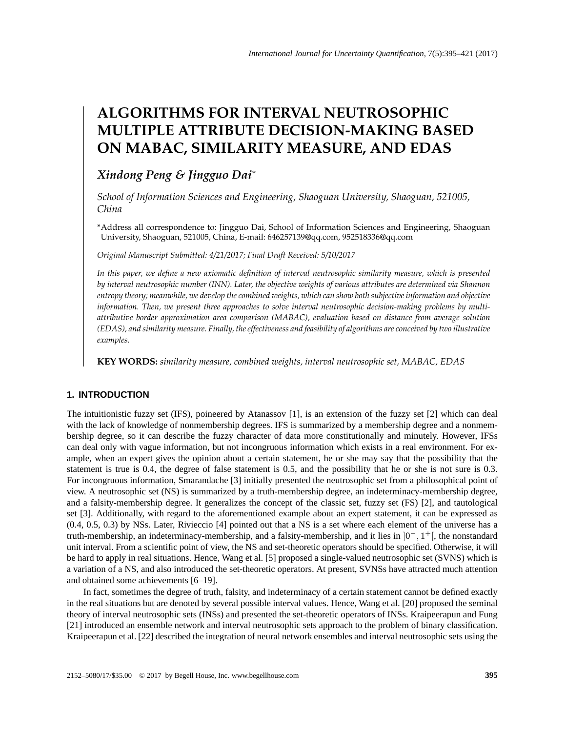# **ALGORITHMS FOR INTERVAL NEUTROSOPHIC MULTIPLE ATTRIBUTE DECISION-MAKING BASED ON MABAC, SIMILARITY MEASURE, AND EDAS**

## *Xindong Peng & Jingguo Dai*<sup>∗</sup>

*School of Information Sciences and Engineering, Shaoguan University, Shaoguan, 521005, China*

\*Address all correspondence to: Jingguo Dai, School of Information Sciences and Engineering, Shaoguan University, Shaoguan, 521005, China, E-mail: 646257139@qq.com, 952518336@qq.com

*Original Manuscript Submitted: 4/21/2017; Final Draft Received: 5/10/2017*

*In this paper, we define a new axiomatic definition of interval neutrosophic similarity measure, which is presented by interval neutrosophic number (INN). Later, the objective weights of various attributes are determined via Shannon entropy theory; meanwhile, we develop the combined weights, which can show both subjective information and objective information. Then, we present three approaches to solve interval neutrosophic decision-making problems by multiattributive border approximation area comparison (MABAC), evaluation based on distance from average solution (EDAS), and similarity measure. Finally, the effectiveness and feasibility of algorithms are conceived by two illustrative examples.*

**KEY WORDS:** *similarity measure, combined weights, interval neutrosophic set, MABAC, EDAS*

## **1. INTRODUCTION**

The intuitionistic fuzzy set (IFS), poineered by Atanassov [1], is an extension of the fuzzy set [2] which can deal with the lack of knowledge of nonmembership degrees. IFS is summarized by a membership degree and a nonmembership degree, so it can describe the fuzzy character of data more constitutionally and minutely. However, IFSs can deal only with vague information, but not incongruous information which exists in a real environment. For example, when an expert gives the opinion about a certain statement, he or she may say that the possibility that the statement is true is 0.4, the degree of false statement is 0.5, and the possibility that he or she is not sure is 0.3. For incongruous information, Smarandache [3] initially presented the neutrosophic set from a philosophical point of view. A neutrosophic set (NS) is summarized by a truth-membership degree, an indeterminacy-membership degree, and a falsity-membership degree. It generalizes the concept of the classic set, fuzzy set (FS) [2], and tautological set [3]. Additionally, with regard to the aforementioned example about an expert statement, it can be expressed as (0.4, 0.5, 0.3) by NSs. Later, Rivieccio [4] pointed out that a NS is a set where each element of the universe has a truth-membership, an indeterminacy-membership, and a falsity-membership, and it lies in  $]0^-, 1^+]$ , the nonstandard unit interval. From a scientific point of view, the NS and set-theoretic operators should be specified. Otherwise, it will be hard to apply in real situations. Hence, Wang et al. [5] proposed a single-valued neutrosophic set (SVNS) which is a variation of a NS, and also introduced the set-theoretic operators. At present, SVNSs have attracted much attention and obtained some achievements [6–19].

In fact, sometimes the degree of truth, falsity, and indeterminacy of a certain statement cannot be defined exactly in the real situations but are denoted by several possible interval values. Hence, Wang et al. [20] proposed the seminal theory of interval neutrosophic sets (INSs) and presented the set-theoretic operators of INSs. Kraipeerapun and Fung [21] introduced an ensemble network and interval neutrosophic sets approach to the problem of binary classification. Kraipeerapun et al. [22] described the integration of neural network ensembles and interval neutrosophic sets using the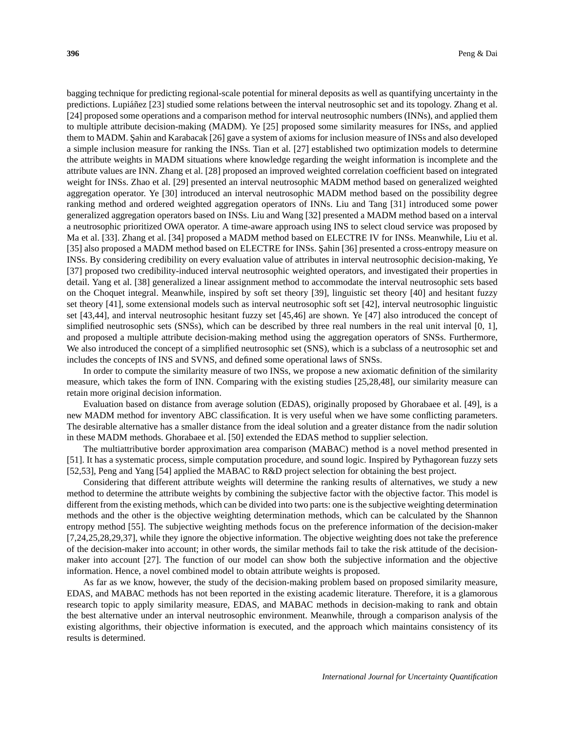bagging technique for predicting regional-scale potential for mineral deposits as well as quantifying uncertainty in the predictions. Lupia $\tilde{n}$ ez [23] studied some relations between the interval neutrosophic set and its topology. Zhang et al. [24] proposed some operations and a comparison method for interval neutrosophic numbers (INNs), and applied them to multiple attribute decision-making (MADM). Ye [25] proposed some similarity measures for INSs, and applied them to MADM. Sahin and Karabacak [26] gave a system of axioms for inclusion measure of INSs and also developed a simple inclusion measure for ranking the INSs. Tian et al. [27] established two optimization models to determine the attribute weights in MADM situations where knowledge regarding the weight information is incomplete and the attribute values are INN. Zhang et al. [28] proposed an improved weighted correlation coefficient based on integrated weight for INSs. Zhao et al. [29] presented an interval neutrosophic MADM method based on generalized weighted aggregation operator. Ye [30] introduced an interval neutrosophic MADM method based on the possibility degree ranking method and ordered weighted aggregation operators of INNs. Liu and Tang [31] introduced some power generalized aggregation operators based on INSs. Liu and Wang [32] presented a MADM method based on a interval a neutrosophic prioritized OWA operator. A time-aware approach using INS to select cloud service was proposed by Ma et al. [33]. Zhang et al. [34] proposed a MADM method based on ELECTRE IV for INSs. Meanwhile, Liu et al. [35] also proposed a MADM method based on ELECTRE for INSs. Şahin [36] presented a cross-entropy measure on INSs. By considering credibility on every evaluation value of attributes in interval neutrosophic decision-making, Ye [37] proposed two credibility-induced interval neutrosophic weighted operators, and investigated their properties in detail. Yang et al. [38] generalized a linear assignment method to accommodate the interval neutrosophic sets based on the Choquet integral. Meanwhile, inspired by soft set theory [39], linguistic set theory [40] and hesitant fuzzy set theory [41], some extensional models such as interval neutrosophic soft set [42], interval neutrosophic linguistic set [43,44], and interval neutrosophic hesitant fuzzy set [45,46] are shown. Ye [47] also introduced the concept of simplified neutrosophic sets (SNSs), which can be described by three real numbers in the real unit interval [0, 1], and proposed a multiple attribute decision-making method using the aggregation operators of SNSs. Furthermore, We also introduced the concept of a simplified neutrosophic set (SNS), which is a subclass of a neutrosophic set and includes the concepts of INS and SVNS, and defined some operational laws of SNSs.

In order to compute the similarity measure of two INSs, we propose a new axiomatic definition of the similarity measure, which takes the form of INN. Comparing with the existing studies [25,28,48], our similarity measure can retain more original decision information.

Evaluation based on distance from average solution (EDAS), originally proposed by Ghorabaee et al. [49], is a new MADM method for inventory ABC classification. It is very useful when we have some conflicting parameters. The desirable alternative has a smaller distance from the ideal solution and a greater distance from the nadir solution in these MADM methods. Ghorabaee et al. [50] extended the EDAS method to supplier selection.

The multiattributive border approximation area comparison (MABAC) method is a novel method presented in [51]. It has a systematic process, simple computation procedure, and sound logic. Inspired by Pythagorean fuzzy sets [52,53], Peng and Yang [54] applied the MABAC to R&D project selection for obtaining the best project.

Considering that different attribute weights will determine the ranking results of alternatives, we study a new method to determine the attribute weights by combining the subjective factor with the objective factor. This model is different from the existing methods, which can be divided into two parts: one is the subjective weighting determination methods and the other is the objective weighting determination methods, which can be calculated by the Shannon entropy method [55]. The subjective weighting methods focus on the preference information of the decision-maker [7,24,25,28,29,37], while they ignore the objective information. The objective weighting does not take the preference of the decision-maker into account; in other words, the similar methods fail to take the risk attitude of the decisionmaker into account [27]. The function of our model can show both the subjective information and the objective information. Hence, a novel combined model to obtain attribute weights is proposed.

As far as we know, however, the study of the decision-making problem based on proposed similarity measure, EDAS, and MABAC methods has not been reported in the existing academic literature. Therefore, it is a glamorous research topic to apply similarity measure, EDAS, and MABAC methods in decision-making to rank and obtain the best alternative under an interval neutrosophic environment. Meanwhile, through a comparison analysis of the existing algorithms, their objective information is executed, and the approach which maintains consistency of its results is determined.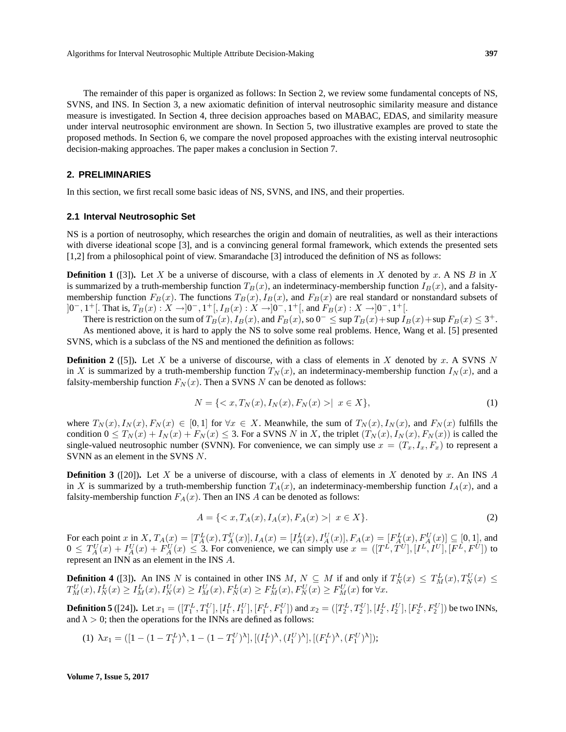The remainder of this paper is organized as follows: In Section 2, we review some fundamental concepts of NS, SVNS, and INS. In Section 3, a new axiomatic definition of interval neutrosophic similarity measure and distance measure is investigated. In Section 4, three decision approaches based on MABAC, EDAS, and similarity measure under interval neutrosophic environment are shown. In Section 5, two illustrative examples are proved to state the proposed methods. In Section 6, we compare the novel proposed approaches with the existing interval neutrosophic decision-making approaches. The paper makes a conclusion in Section 7.

## **2. PRELIMINARIES**

In this section, we first recall some basic ideas of NS, SVNS, and INS, and their properties.

#### **2.1 Interval Neutrosophic Set**

NS is a portion of neutrosophy, which researches the origin and domain of neutralities, as well as their interactions with diverse ideational scope [3], and is a convincing general formal framework, which extends the presented sets [1,2] from a philosophical point of view. Smarandache [3] introduced the definition of NS as follows:

**Definition 1** ([3]). Let X be a universe of discourse, with a class of elements in X denoted by x. A NS B in X is summarized by a truth-membership function  $T_B(x)$ , an indeterminacy-membership function  $I_B(x)$ , and a falsitymembership function  $F_B(x)$ . The functions  $T_B(x)$ ,  $I_B(x)$ , and  $F_B(x)$  are real standard or nonstandard subsets of  $]0^-, 1^+[$ . That is,  $T_B(x) : X \rightarrow ]0^-, 1^+[$ ,  $I_B(x) : X \rightarrow ]0^-, 1^+[$ , and  $F_B(x) : X \rightarrow ]0^-, 1^+[$ .

There is restriction on the sum of  $T_B(x)$ ,  $I_B(x)$ , and  $F_B(x)$ , so  $0^- \leq \sup T_B(x) + \sup T_B(x) + \sup F_B(x) \leq 3^+$ . As mentioned above, it is hard to apply the NS to solve some real problems. Hence, Wang et al. [5] presented SVNS, which is a subclass of the NS and mentioned the definition as follows:

**Definition 2** ([5]). Let X be a universe of discourse, with a class of elements in X denoted by x. A SVNS N in X is summarized by a truth-membership function  $T_N(x)$ , an indeterminacy-membership function  $I_N(x)$ , and a falsity-membership function  $F_N(x)$ . Then a SVNS N can be denoted as follows:

$$
N = \{ \langle x, T_N(x), I_N(x), F_N(x) \rangle \mid x \in X \},\tag{1}
$$

where  $T_N(x)$ ,  $I_N(x)$ ,  $F_N(x) \in [0,1]$  for  $\forall x \in X$ . Meanwhile, the sum of  $T_N(x)$ ,  $I_N(x)$ , and  $F_N(x)$  fulfills the condition  $0 \leq T_N(x) + I_N(x) + F_N(x) \leq 3$ . For a SVNS N in X, the triplet  $(T_N(x), I_N(x), F_N(x))$  is called the single-valued neutrosophic number (SVNN). For convenience, we can simply use  $x = (T_x, I_x, F_x)$  to represent a SVNN as an element in the SVNS N.

**Definition 3** ([20]). Let X be a universe of discourse, with a class of elements in X denoted by x. An INS A in X is summarized by a truth-membership function  $T<sub>A</sub>(x)$ , an indeterminacy-membership function  $I<sub>A</sub>(x)$ , and a falsity-membership function  $F_A(x)$ . Then an INS A can be denoted as follows:

$$
A = \{ \langle x, T_A(x), I_A(x), F_A(x) \rangle \mid x \in X \}. \tag{2}
$$

For each point x in X,  $T_A(x) = [T_A^L(x), T_A^U(x)], I_A(x) = [I_A^L(x), I_A^U(x)], F_A(x) = [F_A^L(x), F_A^U(x)] \subseteq [0, 1],$  and  $0 \leq T_A^U(x) + I_A^U(x) + F_A^U(x) \leq 3$ . For convenience, we can simply use  $x = (T^L, T^U], [I^L, I^U], [F^L, F^U]$  to represent an INN as an element in the INS A.

**Definition 4** ([3]). An INS N is contained in other INS M,  $N \subseteq M$  if and only if  $T_N^L(x) \leq T_M^L(x)$ ,  $T_N^U(x) \leq$  $T_M^U(x), I_N^L(x)\geq I_M^L(x), I_N^U(x)\geq I_M^U(x), F_N^L(x)\geq F_M^L(x), F_N^U(x)\geq F_M^U(x)$  for  $\forall x$ .

**Definition 5** ([24]). Let  $x_1 = ([T_1^L, T_1^U], [I_1^L, I_1^U], [F_1^L, F_1^U])$  and  $x_2 = ([T_2^L, T_2^U], [I_2^L, I_2^U], [F_2^L, F_2^U])$  be two INNs, and  $\lambda > 0$ ; then the operations for the INNs are defined as follows:

(1) 
$$
\lambda x_1 = ([1 - (1 - T_1^L)^{\lambda}, 1 - (1 - T_1^U)^{\lambda}], [(I_1^L)^{\lambda}, (I_1^U)^{\lambda}], [(F_1^L)^{\lambda}, (F_1^U)^{\lambda}]);
$$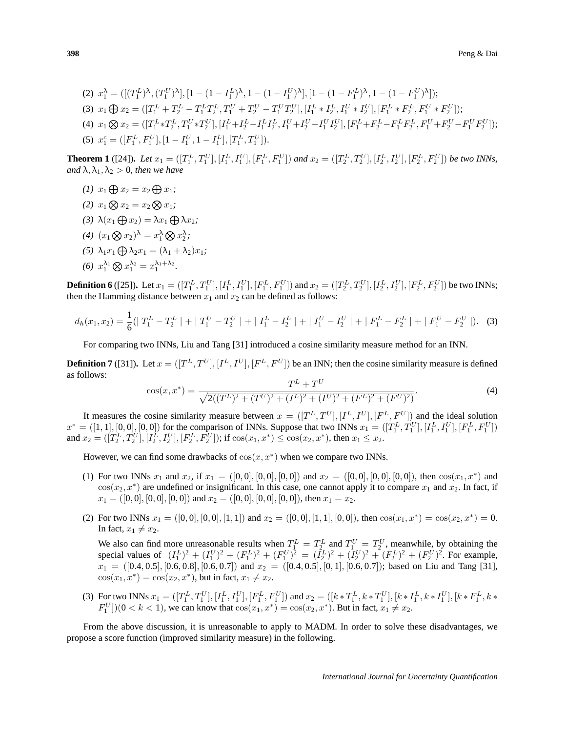$$
(2) \ x_1^{\lambda} = ([(T_1^L)^{\lambda}, (T_1^U)^{\lambda}], [1 - (1 - I_1^L)^{\lambda}, 1 - (1 - I_1^U)^{\lambda}], [1 - (1 - F_1^L)^{\lambda}, 1 - (1 - F_1^U)^{\lambda}]);
$$
\n
$$
(3) \ x_1 \bigoplus x_2 = ([T_1^L + T_2^L - T_1^L T_2^L, T_1^U + T_2^U - T_1^U T_2^U], [I_1^L * I_2^L, I_1^U * I_2^U], [F_1^L * F_2^L, F_1^U * F_2^U]);
$$
\n
$$
(4) \ x_1 \bigotimes x_2 = ([T_1^L * T_2^L, T_1^U * T_2^U], [I_1^L + I_2^L - I_1^L I_2^L, I_1^U + I_2^U - I_1^U I_2^U], [F_1^L + F_2^L - F_1^L F_2^L, F_1^U + F_2^U - F_1^U F_2^U]);
$$
\n
$$
(5) \ x_1^c = ([F_1^L, F_1^U], [1 - I_1^U, 1 - I_1^L], [T_1^L, T_1^U]).
$$

**Theorem 1** ([24]). Let  $x_1 = ([T_1^L, T_1^U], [I_1^L, I_1^U], [F_1^L, F_1^U])$  and  $x_2 = ([T_2^L, T_2^U], [I_2^L, I_2^U], [F_2^L, F_2^U])$  be two INNs, *and*  $\lambda$ ,  $\lambda_1$ ,  $\lambda_2 > 0$ *, then we have* 

- (1)  $x_1 \bigoplus x_2 = x_2 \bigoplus x_1;$
- (2)  $x_1 \bigotimes x_2 = x_2 \bigotimes x_1;$
- (3)  $\lambda(x_1 \bigoplus x_2) = \lambda x_1 \bigoplus \lambda x_2;$
- (4)  $(x_1 \otimes x_2)^\lambda = x_1^\lambda \otimes x_2^\lambda;$
- (5)  $\lambda_1 x_1 \bigoplus \lambda_2 x_1 = (\lambda_1 + \lambda_2) x_1;$
- (6)  $x_1^{\lambda_1} \bigotimes x_1^{\lambda_2} = x_1^{\lambda_1 + \lambda_2}$ .

**Definition 6** ([25]). Let  $x_1 = ([T_1^L, T_1^U], [I_1^L, I_1^U], [F_1^L, F_1^U])$  and  $x_2 = ([T_2^L, T_2^U], [I_2^L, I_2^U], [F_2^L, F_2^U])$  be two INNs; then the Hamming distance between  $x_1$  and  $x_2$  can be defined as follows:

$$
d_h(x_1, x_2) = \frac{1}{6} \left( |T_1^L - T_2^L| + |T_1^U - T_2^U| + |I_1^L - I_2^L| + |I_1^U - I_2^U| + |F_1^L - F_2^L| + |F_1^U - F_2^U| \right).
$$
 (3)

For comparing two INNs, Liu and Tang [31] introduced a cosine similarity measure method for an INN.

**Definition 7** ([31]). Let  $x = ([T^L, T^U], [I^L, I^U], [F^L, F^U])$  be an INN; then the cosine similarity measure is defined as follows:

$$
\cos(x, x^*) = \frac{T^L + T^U}{\sqrt{2((T^L)^2 + (T^U)^2 + (I^L)^2 + (I^U)^2 + (F^L)^2 + (F^U)^2)}}.
$$
\n(4)

It measures the cosine similarity measure between  $x = ( [T^L, T^U], [I^L, I^U], [F^L, F^U] )$  and the ideal solution  $x^* = ([1, 1], [0, 0], [0, 0])$  for the comparison of INNs. Suppose that two INNs  $x_1 = ([T_1^L, T_1^U], [I_1^L, I_1^U], [F_1^L, F_1^U])$ and  $x_2 = (\overline{T_2^L}, T_2^U], [\overline{T_2^L}, T_2^U], [\overline{F_2^L}, F_2^U]$ ); if  $\cos(x_1, x^*) \leq \cos(x_2, x^*)$ , then  $x_1 \leq x_2$ .

However, we can find some drawbacks of  $cos(x, x^*)$  when we compare two INNs.

- (1) For two INNs  $x_1$  and  $x_2$ , if  $x_1 = ([0,0], [0,0], [0,0])$  and  $x_2 = ([0,0], [0,0], [0,0])$ , then  $\cos(x_1, x^*)$  and  $\cos(x_2, x^*)$  are undefined or insignificant. In this case, one cannot apply it to compare  $x_1$  and  $x_2$ . In fact, if  $x_1 = ([0, 0], [0, 0], [0, 0])$  and  $x_2 = ([0, 0], [0, 0], [0, 0])$ , then  $x_1 = x_2$ .
- (2) For two INNs  $x_1 = ([0,0], [0,0], [1,1])$  and  $x_2 = ([0,0], [1,1], [0,0])$ , then  $\cos(x_1, x^*) = \cos(x_2, x^*) = 0$ . In fact,  $x_1 \neq x_2$ .

We also can find more unreasonable results when  $T_1^L = T_2^L$  and  $T_1^U = T_2^U$ , meanwhile, by obtaining the special values of  $(I_1^L)^2 + (I_1^U)^2 + (F_1^L)^2 + (F_1^U)^2 = (I_2^L)^2 + (I_2^U)^2 + (F_2^L)^2 + (F_2^U)^2$ . For example,  $x_1 = ([0.4, 0.5], [0.6, 0.8], [0.6, 0.7])$  and  $x_2 = ([0.4, 0.5], [0, 1], [0.6, 0.7])$ ; based on Liu and Tang [31],  $\cos(x_1, x^*) = \cos(x_2, x^*)$ , but in fact,  $x_1 \neq x_2$ .

(3) For two INNs  $x_1 = (\left[T_1^L, T_1^U\right], \left[I_1^L, I_1^U\right], \left[F_1^L, F_1^U\right])$  and  $x_2 = (\left[k * T_1^L, k * T_1^U\right], \left[k * I_1^L, k * I_1^U\right], \left[k * F_1^L, k * F_1^U\right],\left[k * F_1^L, k * F_1^U\right],\left[k * F_1^L, k * F_1^U\right],\left[k * F_1^L, k * F_1^U\right],\left[k * F_1^L, k * F_1^U\right],$  $F_1^U$ ])(0 < k < 1), we can know that  $\cos(x_1, x^*) = \cos(x_2, x^*)$ . But in fact,  $x_1 \neq x_2$ .

From the above discussion, it is unreasonable to apply to MADM. In order to solve these disadvantages, we propose a score function (improved similarity measure) in the following.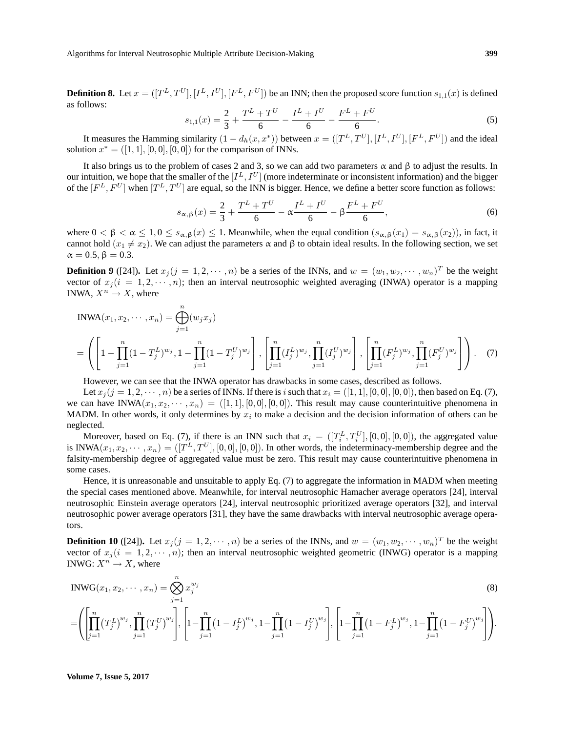Algorithms for Interval Neutrosophic Multiple Attribute Decision-Making **399**

**Definition 8.** Let  $x = ([T^L, T^U], [I^L, I^U], [F^L, F^U])$  be an INN; then the proposed score function  $s_{1,1}(x)$  is defined as follows:

$$
s_{1,1}(x) = \frac{2}{3} + \frac{T^L + T^U}{6} - \frac{I^L + I^U}{6} - \frac{F^L + F^U}{6}.
$$
 (5)

It measures the Hamming similarity  $(1-d_h(x,x^*))$  between  $x=[[T^L,T^U],[I^L,I^U],[F^L,F^U])$  and the ideal solution  $x^* = ([1, 1], [0, 0], [0, 0])$  for the comparison of INNs.

It also brings us to the problem of cases 2 and 3, so we can add two parameters  $\alpha$  and  $\beta$  to adjust the results. In our intuition, we hope that the smaller of the  $[I^L, I^U]$  (more indeterminate or inconsistent information) and the bigger of the  $[F^L, F^U]$  when  $[T^L, T^U]$  are equal, so the INN is bigger. Hence, we define a better score function as follows:

$$
s_{\alpha,\beta}(x) = \frac{2}{3} + \frac{T^L + T^U}{6} - \alpha \frac{I^L + I^U}{6} - \beta \frac{F^L + F^U}{6},\tag{6}
$$

where  $0 < \beta < \alpha \leq 1, 0 \leq s_{\alpha,\beta}(x) \leq 1$ . Meanwhile, when the equal condition  $(s_{\alpha,\beta}(x_1) = s_{\alpha,\beta}(x_2))$ , in fact, it cannot hold  $(x_1 \neq x_2)$ . We can adjust the parameters  $\alpha$  and  $\beta$  to obtain ideal results. In the following section, we set  $\alpha = 0.5, \beta = 0.3.$ 

**Definition 9** ([24]). Let  $x_j$  ( $j = 1, 2, \dots, n$ ) be a series of the INNs, and  $w = (w_1, w_2, \dots, w_n)^T$  be the weight vector of  $x_j (i = 1, 2, \dots, n)$ ; then an interval neutrosophic weighted averaging (INWA) operator is a mapping INWA,  $X^n \to X$ , where

$$
INWA(x_1, x_2, \dots, x_n) = \bigoplus_{j=1}^n (w_j x_j)
$$
  
=  $\left( \left[ 1 - \prod_{j=1}^n (1 - T_j^L)^{w_j}, 1 - \prod_{j=1}^n (1 - T_j^U)^{w_j} \right], \left[ \prod_{j=1}^n (I_j^L)^{w_j}, \prod_{j=1}^n (I_j^U)^{w_j} \right], \left[ \prod_{j=1}^n (F_j^L)^{w_j}, \prod_{j=1}^n (F_j^U)^{w_j} \right] \right).$  (7)

However, we can see that the INWA operator has drawbacks in some cases, described as follows.

Let  $x_j (j = 1, 2, \dots, n)$  be a series of INNs. If there is i such that  $x_i = ([1, 1], [0, 0], [0, 0])$ , then based on Eq. (7), we can have INWA $(x_1, x_2, \dots, x_n) = ([1, 1], [0, 0], [0, 0])$ . This result may cause counterintuitive phenomena in MADM. In other words, it only determines by  $x_i$  to make a decision and the decision information of others can be neglected.

Moreover, based on Eq. (7), if there is an INN such that  $x_i = ([T_i^L, T_i^U], [0, 0], [0, 0])$ , the aggregated value is INWA $(x_1, x_2, \dots, x_n) = ([T^L, T^U], [0, 0], [0, 0])$ . In other words, the indeterminacy-membership degree and the falsity-membership degree of aggregated value must be zero. This result may cause counterintuitive phenomena in some cases.

Hence, it is unreasonable and unsuitable to apply Eq. (7) to aggregate the information in MADM when meeting the special cases mentioned above. Meanwhile, for interval neutrosophic Hamacher average operators [24], interval neutrosophic Einstein average operators [24], interval neutrosophic prioritized average operators [32], and interval neutrosophic power average operators [31], they have the same drawbacks with interval neutrosophic average operators.

**Definition 10** ([24]). Let  $x_j$  ( $j = 1, 2, \dots, n$ ) be a series of the INNs, and  $w = (w_1, w_2, \dots, w_n)^T$  be the weight vector of  $x_j (i = 1, 2, \dots, n)$ ; then an interval neutrosophic weighted geometric (INWG) operator is a mapping INWG:  $X^n \to X$ , where

$$
INWG(x_1, x_2, \dots, x_n) = \bigotimes_{j=1}^{n} x_j^{w_j}
$$
\n
$$
= \left( \prod_{j=1}^{n} \left( T_j^L \right)^{w_j}, \prod_{j=1}^{n} \left( T_j^U \right)^{w_j} \right), \left[ 1 - \prod_{j=1}^{n} \left( 1 - I_j^L \right)^{w_j}, 1 - \prod_{j=1}^{n} \left( 1 - I_j^U \right)^{w_j} \right], \left[ 1 - \prod_{j=1}^{n} \left( 1 - F_j^L \right)^{w_j}, 1 - \prod_{j=1}^{n} \left( 1 - F_j^U \right)^{w_j} \right] \right).
$$
\n(8)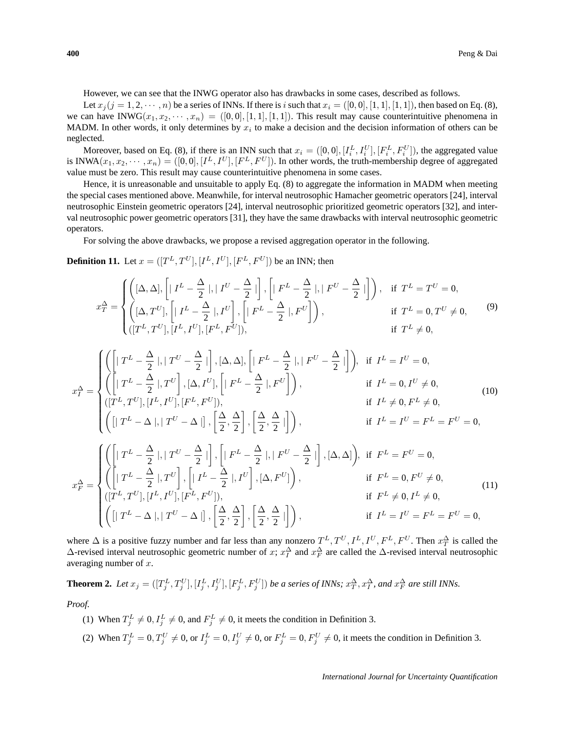However, we can see that the INWG operator also has drawbacks in some cases, described as follows.

Let  $x_j$  ( $j = 1, 2, \dots, n$ ) be a series of INNs. If there is i such that  $x_i = ([0, 0], [1, 1], [1, 1])$ , then based on Eq. (8), we can have INWG $(x_1, x_2, \dots, x_n) = ([0, 0], [1, 1], [1, 1])$ . This result may cause counterintuitive phenomena in MADM. In other words, it only determines by  $x_i$  to make a decision and the decision information of others can be neglected.

Moreover, based on Eq. (8), if there is an INN such that  $x_i = ([0,0], [I_i^L, I_i^U], [F_i^L, F_i^U])$ , the aggregated value is INWA $(x_1, x_2, \dots, x_n) = ([0, 0], [I^L, I^U], [F^L, F^U])$ . In other words, the truth-membership degree of aggregated value must be zero. This result may cause counterintuitive phenomena in some cases.

Hence, it is unreasonable and unsuitable to apply Eq. (8) to aggregate the information in MADM when meeting the special cases mentioned above. Meanwhile, for interval neutrosophic Hamacher geometric operators [24], interval neutrosophic Einstein geometric operators [24], interval neutrosophic prioritized geometric operators [32], and interval neutrosophic power geometric operators [31], they have the same drawbacks with interval neutrosophic geometric operators.

For solving the above drawbacks, we propose a revised aggregation operator in the following.

**Definition 11.** Let  $x = ([T^L, T^U], [I^L, I^U], [F^L, F^U])$  be an INN; then

$$
x_T^{\Delta} = \begin{cases} \left( [\Delta, \Delta], \left[ |I^L - \frac{\Delta}{2}|, |I^U - \frac{\Delta}{2}| \right], \left[ |F^L - \frac{\Delta}{2}|, |F^U - \frac{\Delta}{2}| \right] \right), & \text{if } T^L = T^U = 0, \\ \left( [\Delta, T^U], \left[ |I^L - \frac{\Delta}{2}|, I^U \right], \left[ |F^L - \frac{\Delta}{2}|, F^U \right] \right), & \text{if } T^L = 0, T^U \neq 0, \\ \left( [T^L, T^U], [I^L, I^U], [F^L, F^U] \right), & \text{if } T^L \neq 0, \end{cases} \tag{9}
$$

$$
x_{I}^{\Delta} = \begin{cases} \left( \left[ |T^{L} - \frac{\Delta}{2}|, |T^{U} - \frac{\Delta}{2}| \right], [\Delta, \Delta], \left[ |F^{L} - \frac{\Delta}{2}|, |F^{U} - \frac{\Delta}{2}| \right] \right), & \text{if } I^{L} = I^{U} = 0, \\ \left( |T^{L}, T^{U}|, [I^{L}, I^{U}], [F^{L}, F^{U}]) \right), & \text{if } I^{L} = 0, I^{U} \neq 0, \\ \left( [T^{L}, T^{U}], [I^{L}, I^{U}], [F^{L}, F^{U}] \right), & \text{if } I^{L} \neq 0, F^{L} \neq 0, \\ \left( [ | T^{L} - \Delta |, | T^{U} - \Delta |] , \left[ \frac{\Delta}{2}, \frac{\Delta}{2} \right], \left[ \frac{\Delta}{2}, \frac{\Delta}{2} | \right] \right), & \text{if } I^{L} = I^{U} = F^{L} = F^{U} = 0, \\ \left( \left[ |T^{L} - \frac{\Delta}{2}|, |T^{U} - \frac{\Delta}{2}| \right], \left[ |F^{L} - \frac{\Delta}{2}|, |F^{U} - \frac{\Delta}{2}| \right], [\Delta, \Delta] \right), & \text{if } F^{L} = F^{U} = 0, \\ \left( \left[ |T^{L} - \frac{\Delta}{2}|, T^{U} \right], \left[ |I^{L} - \frac{\Delta}{2}|, I^{U} \right], [\Delta, F^{U}] \right), & \text{if } F^{L} = 0, F^{U} \neq 0, \\ \left( [T^{L}, T^{U}], [I^{L}, I^{U}], [F^{L}, F^{U}] \right), & \text{if } F^{L} \neq 0, I^{L} \neq 0, \\ \left( [ | T^{L} - \Delta |, | T^{U} - \Delta |] , \left[ \frac{\Delta}{2}, \frac{\Delta}{2} \right], \left[ \frac{\Delta}{2}, \frac{\Delta}{2} | \right] \right), & \text{if } I^{L} = I^{U} = F^{L} = F^{U} = 0, \end{cases} \tag{11}
$$

where  $\Delta$  is a positive fuzzy number and far less than any nonzero  $T^L, T^U, I^L, I^U, F^L, F^U$ . Then  $x^{\Delta}_T$  is called the  $\Delta$ -revised interval neutrosophic geometric number of x;  $x_I^{\Delta}$  and  $x_F^{\Delta}$  are called the  $\Delta$ -revised interval neutrosophic averaging number of  $x$ .

**Theorem 2.** Let 
$$
x_j = ([T_j^L, T_j^U], [I_j^L, I_j^U], [F_j^L, F_j^U])
$$
 be a series of INNs;  $x_T^{\Delta}, x_T^{\Delta}$ , and  $x_F^{\Delta}$  are still INNs.

*Proof.*

- (1) When  $T_j^L \neq 0$ ,  $I_j^L \neq 0$ , and  $F_j^L \neq 0$ , it meets the condition in Definition 3.
- (2) When  $T_j^L = 0, T_j^U \neq 0$ , or  $I_j^L = 0, I_j^U \neq 0$ , or  $F_j^L = 0, F_j^U \neq 0$ , it meets the condition in Definition 3.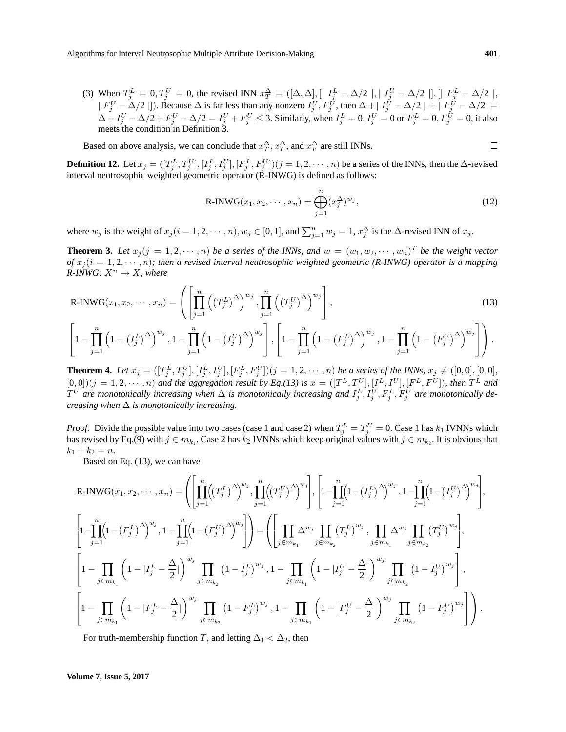(3) When  $T_j^L = 0, T_j^U = 0$ , the revised INN  $x_T^{\Delta} = ([\Delta, \Delta], [T_j^L - \Delta/2], [T_j^U - \Delta/2], [T_j^L - \Delta/2],$  $|F_j^U - \Delta/2|$ ]). Because  $\Delta$  is far less than any nonzero  $I_j^U, F_j^U$ , then  $\Delta + |I_j^U - \Delta/2| + |F_j^U - \Delta/2|$  $\Delta + I_j^U - \Delta/2 + F_j^U - \Delta/2 = I_j^U + F_j^U \leq 3$ . Similarly, when  $I_j^L = 0, I_j^U = 0$  or  $F_j^L = 0, F_j^{\tilde{U}} = 0$ , it also meets the condition in Definition 3.

Based on above analysis, we can conclude that  $x_T^{\Delta}$ ,  $x_T^{\Delta}$ , and  $x_F^{\Delta}$  are still INNs.

**Definition 12.** Let  $x_j = ([T_j^L, T_j^U], [I_j^L, I_j^U], [F_j^L, F_j^U])(j = 1, 2, \dots, n)$  be a series of the INNs, then the  $\Delta$ -revised interval neutrosophic weighted geometric operator (R-INWG) is defined as follows:

R-INWG
$$
(x_1, x_2, \dots, x_n)
$$
 =  $\bigoplus_{j=1}^n (x_j^{\Delta})^{w_j}$ , (12)

 $j=1$ 

where  $w_j$  is the weight of  $x_j$  ( $i = 1, 2, \dots, n$ ),  $w_j \in [0, 1]$ , and  $\sum_{j=1}^n w_j = 1$ ,  $x_j^{\Delta}$  is the  $\Delta$ -revised INN of  $x_j$ .

**Theorem 3.** Let  $x_j$  ( $j = 1, 2, \dots, n$ ) be a series of the INNs, and  $w = (w_1, w_2, \dots, w_n)^T$  be the weight vector *of*  $x_i (i = 1, 2, \dots, n)$ ; then a revised interval neutrosophic weighted geometric (R-INWG) operator is a mapping *R-INWG:*  $X^n \rightarrow X$ *, where* 

$$
R\text{-INWG}(x_1, x_2, \cdots, x_n) = \left( \left[ \prod_{j=1}^n \left( \left( T_j^L \right)^{\Delta} \right)^{w_j}, \prod_{j=1}^n \left( \left( T_j^U \right)^{\Delta} \right)^{w_j} \right], \left[ \prod_{j=1}^n \left( 1 - \left( T_j^L \right)^{\Delta} \right)^{w_j}, 1 - \prod_{j=1}^n \left( 1 - \left( T_j^U \right)^{\Delta} \right)^{w_j} \right], \left[ 1 - \prod_{j=1}^n \left( 1 - \left( F_j^L \right)^{\Delta} \right)^{w_j}, 1 - \prod_{j=1}^n \left( 1 - \left( F_j^U \right)^{\Delta} \right)^{w_j} \right] \right).
$$
\n
$$
(13)
$$

 $j=1$ 

**Theorem 4.** Let  $x_j = ([T_j^L, T_j^U], [I_j^L, I_j^U], [F_j^L, F_j^U])(j = 1, 2, \dots, n)$  be a series of the INNs,  $x_j \neq ([0, 0], [0, 0],$  $[0,0]$ ) $(j = 1, 2, \dots, n)$  and the aggregation result by Eq.(13) is  $x = ([T^L, T^U], [I^L, I^U], [F^L, F^U])$ , then  $T^L$  and  $T^U$  are monotonically increasing when  $\Delta$  is monotonically increasing and  $I_j^L, I_j^U, F_j^L, F_j^U$  are monotonically de*creasing when* ∆ *is monotonically increasing.*

*Proof.* Divide the possible value into two cases (case 1 and case 2) when  $T_j^L = T_j^U = 0$ . Case 1 has  $k_1$  IVNNs which has revised by Eq.(9) with  $j \in m_{k_1}$ . Case 2 has  $k_2$  IVNNs which keep original values with  $j \in m_{k_2}$ . It is obvious that  $k_1 + k_2 = n$ .

Based on Eq. (13), we can have

 $j=1$ 

$$
\begin{split}\n\text{R-INWG}(x_1, x_2, \dots, x_n) &= \left( \left[ \prod_{j=1}^n \left( (T_j^L)^{\Delta} \right)^{w_j}, \prod_{j=1}^n \left( (T_j^U)^{\Delta} \right)^{w_j} \right], \left[ 1 - \prod_{j=1}^n \left( 1 - (I_j^L)^{\Delta} \right)^{w_j}, 1 - \prod_{j=1}^n \left( 1 - (I_j^U)^{\Delta} \right)^{w_j} \right], \\
& \left[ 1 - \prod_{j=1}^n \left( 1 - (F_j^L)^{\Delta} \right)^{w_j}, 1 - \prod_{j=1}^n \left( 1 - (F_j^U)^{\Delta} \right)^{w_j} \right] \right) &= \left( \left[ \prod_{j \in m_{k_1}} \Delta^{w_j}, \prod_{j \in m_{k_2}} (T_j^L)^{w_j}, \prod_{j \in m_{k_1}} \Delta^{w_j}, \prod_{j \in m_{k_2}} (T_j^U)^{w_j} \right], \\
& \left[ 1 - \prod_{j \in m_{k_1}} \left( 1 - |I_j^L - \frac{\Delta}{2}| \right)^{w_j}, \prod_{j \in m_{k_2}} (1 - I_j^L)^{w_j}, 1 - \prod_{j \in m_{k_1}} \left( 1 - |I_j^U - \frac{\Delta}{2}| \right)^{w_j}, \prod_{j \in m_{k_2}} (1 - I_j^U)^{w_j} \right], \\
& \left[ 1 - \prod_{j \in m_{k_1}} \left( 1 - |F_j^L - \frac{\Delta}{2}| \right)^{w_j}, \prod_{j \in m_{k_2}} (1 - F_j^L)^{w_j}, 1 - \prod_{j \in m_{k_1}} \left( 1 - |F_j^U - \frac{\Delta}{2}| \right)^{w_j}, \prod_{j \in m_{k_2}} (1 - F_j^U)^{w_j} \right] \right). \n\end{split}
$$

For truth-membership function T, and letting  $\Delta_1 < \Delta_2$ , then

 $j=1$ 

 $\Box$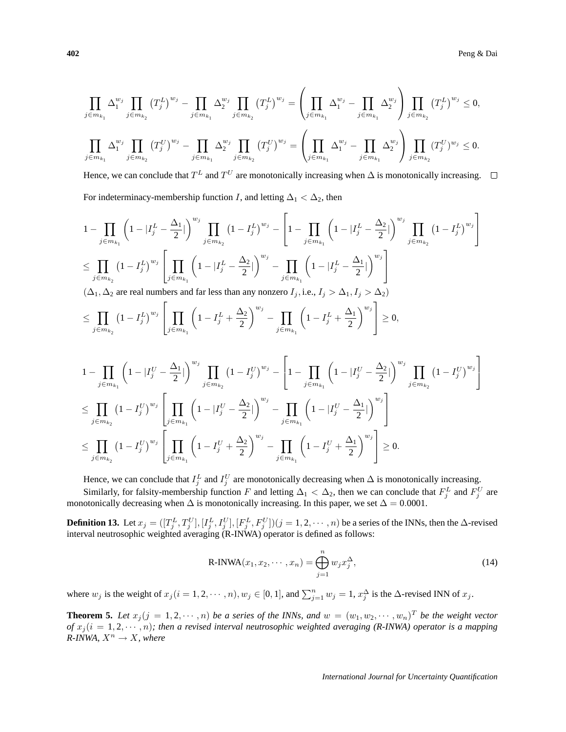$$
\prod_{j \in m_{k_1}} \Delta_1^{w_j} \prod_{j \in m_{k_2}} (T_j^L)^{w_j} - \prod_{j \in m_{k_1}} \Delta_2^{w_j} \prod_{j \in m_{k_2}} (T_j^L)^{w_j} = \left(\prod_{j \in m_{k_1}} \Delta_1^{w_j} - \prod_{j \in m_{k_1}} \Delta_2^{w_j}\right) \prod_{j \in m_{k_2}} (T_j^L)^{w_j} \le 0,
$$
\n
$$
\prod_{j \in m_{k_1}} \Delta_1^{w_j} \prod_{j \in m_{k_2}} (T_j^U)^{w_j} - \prod_{j \in m_{k_1}} \Delta_2^{w_j} \prod_{j \in m_{k_2}} (T_j^U)^{w_j} = \left(\prod_{j \in m_{k_1}} \Delta_1^{w_j} - \prod_{j \in m_{k_1}} \Delta_2^{w_j}\right) \prod_{j \in m_{k_2}} (T_j^U)^{w_j} \le 0.
$$

Hence, we can conclude that  $T^L$  and  $T^U$  are monotonically increasing when  $\Delta$  is monotonically increasing.

For indeterminacy-membership function *I*, and letting  $\Delta_1 < \Delta_2$ , then

$$
\begin{split} &1-\prod_{j\in m_{k_1}}\left(1-|I_j^L-\frac{\Delta_1}{2}|\right)^{w_j}\prod_{j\in m_{k_2}}\left(1-I_j^L\right)^{w_j}-\left[1-\prod_{j\in m_{k_1}}\left(1-|I_j^L-\frac{\Delta_2}{2}|\right)^{w_j}\prod_{j\in m_{k_2}}\left(1-I_j^L\right)^{w_j}\right]\\ &\leq \prod_{j\in m_{k_2}}\left(1-I_j^L\right)^{w_j}\left[\prod_{j\in m_{k_1}}\left(1-|I_j^L-\frac{\Delta_2}{2}|\right)^{w_j}-\prod_{j\in m_{k_1}}\left(1-|I_j^L-\frac{\Delta_1}{2}|\right)^{w_j}\right]\\ &(\Delta_1,\Delta_2\text{ are real numbers and far less than any nonzero }I_j,\text{i.e., }I_j>\Delta_1, I_j>\Delta_2)\end{split}
$$

$$
\leq \prod_{j \in m_{k_2}} \left(1 - I_j^L\right)^{w_j} \left[ \prod_{j \in m_{k_1}} \left(1 - I_j^L + \frac{\Delta_2}{2}\right)^{w_j} - \prod_{j \in m_{k_1}} \left(1 - I_j^L + \frac{\Delta_1}{2}\right)^{w_j}\right] \geq 0,
$$

$$
1 - \prod_{j \in m_{k_1}} \left( 1 - |I_j^U - \frac{\Delta_1}{2}| \right)^{w_j} \prod_{j \in m_{k_2}} \left( 1 - I_j^U \right)^{w_j} - \left[ 1 - \prod_{j \in m_{k_1}} \left( 1 - |I_j^U - \frac{\Delta_2}{2}| \right)^{w_j} \prod_{j \in m_{k_2}} \left( 1 - I_j^U \right)^{w_j} \right]
$$
  
\n
$$
\leq \prod_{j \in m_{k_2}} \left( 1 - I_j^U \right)^{w_j} \left[ \prod_{j \in m_{k_1}} \left( 1 - |I_j^U - \frac{\Delta_2}{2}| \right)^{w_j} - \prod_{j \in m_{k_1}} \left( 1 - |I_j^U - \frac{\Delta_1}{2}| \right)^{w_j} \right]
$$
  
\n
$$
\leq \prod_{j \in m_{k_2}} \left( 1 - I_j^U \right)^{w_j} \left[ \prod_{j \in m_{k_1}} \left( 1 - I_j^U + \frac{\Delta_2}{2} \right)^{w_j} - \prod_{j \in m_{k_1}} \left( 1 - I_j^U + \frac{\Delta_1}{2} \right)^{w_j} \right] \geq 0.
$$

Hence, we can conclude that  $I_j^L$  and  $I_j^U$  are monotonically decreasing when  $\Delta$  is monotonically increasing.

Similarly, for falsity-membership function F and letting  $\Delta_1 < \Delta_2$ , then we can conclude that  $F_j^L$  and  $F_j^U$  are monotonically decreasing when  $\Delta$  is monotonically increasing. In this paper, we set  $\Delta = 0.0001$ .

**Definition 13.** Let  $x_j = ([T_j^L, T_j^U], [I_j^L, I_j^U], [F_j^L, F_j^U])(j = 1, 2, \dots, n)$  be a series of the INNs, then the  $\Delta$ -revised interval neutrosophic weighted averaging (R-INWA) operator is defined as follows:

$$
R\text{-INWA}(x_1, x_2, \cdots, x_n) = \bigoplus_{j=1}^n w_j x_j^{\Delta},\tag{14}
$$

where  $w_j$  is the weight of  $x_j$  ( $i = 1, 2, \dots, n$ ),  $w_j \in [0, 1]$ , and  $\sum_{j=1}^n w_j = 1$ ,  $x_j^{\Delta}$  is the  $\Delta$ -revised INN of  $x_j$ .

**Theorem 5.** Let  $x_j$  ( $j = 1, 2, \dots, n$ ) be a series of the INNs, and  $w = (w_1, w_2, \dots, w_n)^T$  be the weight vector *of*  $x_j$ ( $i = 1, 2, \dots, n$ ); then a revised interval neutrosophic weighted averaging (R-INWA) operator is a mapping  $R$ -*INWA,*  $X^n \rightarrow X$ *, where*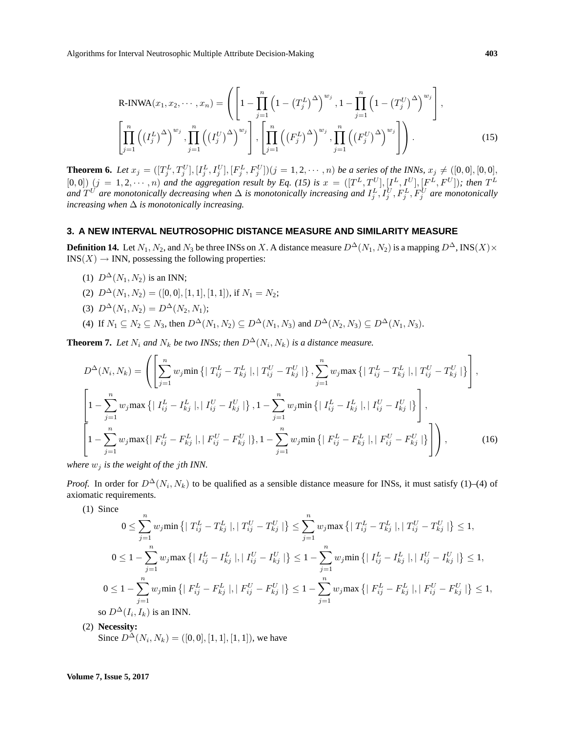$$
\text{R-INWA}(x_1, x_2, \cdots, x_n) = \left( \left[ 1 - \prod_{j=1}^n \left( 1 - \left( T_j^L \right)^{\Delta} \right)^{w_j}, 1 - \prod_{j=1}^n \left( 1 - \left( T_j^U \right)^{\Delta} \right)^{w_j} \right],
$$
\n
$$
\left[ \prod_{j=1}^n \left( \left( I_j^L \right)^{\Delta} \right)^{w_j}, \prod_{j=1}^n \left( \left( I_j^U \right)^{\Delta} \right)^{w_j} \right], \left[ \prod_{j=1}^n \left( \left( F_j^L \right)^{\Delta} \right)^{w_j}, \prod_{j=1}^n \left( \left( F_j^U \right)^{\Delta} \right)^{w_j} \right] \right). \tag{15}
$$

**Theorem 6.** Let  $x_j = ([T_j^L, T_j^U], [I_j^L, I_j^U], [F_j^L, F_j^U])(j = 1, 2, \dots, n)$  be a series of the INNs,  $x_j \neq ([0, 0], [0, 0],$  $[0,0]$   $(j = 1, 2, \dots, n)$  and the aggregation result by Eq. (15) is  $x = ([T^L, T^U], [I^L, I^U], [F^L, F^U])$ ; then  $T^L$ and  $T^U$  are monotonically decreasing when  $\Delta$  is monotonically increasing and  $I_j^L, I_j^U, F_j^L, F_j^U$  are monotonically *increasing when* ∆ *is monotonically increasing.*

## **3. A NEW INTERVAL NEUTROSOPHIC DISTANCE MEASURE AND SIMILARITY MEASURE**

**Definition 14.** Let  $N_1, N_2$ , and  $N_3$  be three INSs on X. A distance measure  $D^{\Delta}(N_1, N_2)$  is a mapping  $D^{\Delta}$ , INS(X)×  $INS(X) \rightarrow INN$ , possessing the following properties:

- (1)  $D^{\Delta}(N_1, N_2)$  is an INN;
- (2)  $D^{\Delta}(N_1, N_2) = ([0, 0], [1, 1], [1, 1]),$  if  $N_1 = N_2$ ;
- (3)  $D^{\Delta}(N_1, N_2) = D^{\Delta}(N_2, N_1);$
- (4) If  $N_1 \subseteq N_2 \subseteq N_3$ , then  $D^{\Delta}(N_1, N_2) \subseteq D^{\Delta}(N_1, N_3)$  and  $D^{\Delta}(N_2, N_3) \subseteq D^{\Delta}(N_1, N_3)$ .

**Theorem 7.** Let  $N_i$  and  $N_k$  be two INSs; then  $D^{\Delta}(N_i, N_k)$  is a distance measure.

$$
D^{\Delta}(N_i, N_k) = \left( \left[ \sum_{j=1}^n w_j \min \left\{ \left| T_{ij}^L - T_{kj}^L \right|, \left| T_{ij}^U - T_{kj}^U \right| \right\}, \sum_{j=1}^n w_j \max \left\{ \left| T_{ij}^L - T_{kj}^L \right|, \left| T_{ij}^U - T_{kj}^U \right| \right\} \right],
$$
  

$$
\left[ 1 - \sum_{j=1}^n w_j \max \left\{ \left| I_{ij}^L - I_{kj}^L \right|, \left| I_{ij}^U - I_{kj}^U \right| \right\}, 1 - \sum_{j=1}^n w_j \min \left\{ \left| I_{ij}^L - I_{kj}^L \right|, \left| I_{ij}^U - I_{kj}^U \right| \right\} \right],
$$
  

$$
\left[ 1 - \sum_{j=1}^n w_j \max \left\{ \left| F_{ij}^L - F_{kj}^L \right|, \left| F_{ij}^U - F_{kj}^U \right| \right\}, 1 - \sum_{j=1}^n w_j \min \left\{ \left| F_{ij}^L - F_{kj}^L \right|, \left| F_{ij}^U - F_{kj}^U \right| \right\} \right],
$$
 (16)

*where*  $w_j$  *is the weight of the jth INN.* 

*Proof.* In order for  $D^{\Delta}(N_i, N_k)$  to be qualified as a sensible distance measure for INSs, it must satisfy (1)–(4) of axiomatic requirements.

(1) Since

$$
0 \leq \sum_{j=1}^{n} w_j \min \left\{ | T_{ij}^L - T_{kj}^L |, | T_{ij}^U - T_{kj}^U | \right\} \leq \sum_{j=1}^{n} w_j \max \left\{ | T_{ij}^L - T_{kj}^L |, | T_{ij}^U - T_{kj}^U | \right\} \leq 1,
$$
  
\n
$$
0 \leq 1 - \sum_{j=1}^{n} w_j \max \left\{ | I_{ij}^L - I_{kj}^L |, | I_{ij}^U - I_{kj}^U | \right\} \leq 1 - \sum_{j=1}^{n} w_j \min \left\{ | I_{ij}^L - I_{kj}^L |, | I_{ij}^U - I_{kj}^U | \right\} \leq 1,
$$
  
\n
$$
0 \leq 1 - \sum_{j=1}^{n} w_j \min \left\{ | F_{ij}^L - F_{kj}^L |, | F_{ij}^U - F_{kj}^U | \right\} \leq 1 - \sum_{j=1}^{n} w_j \max \left\{ | F_{ij}^L - F_{kj}^L |, | F_{ij}^U - F_{kj}^U | \right\} \leq 1,
$$
  
\nso  $D^{\Delta}(I_i, I_k)$  is an INN.

(2) **Necessity:**

Since  $D^{\Delta}(N_i, N_k) = ([0, 0], [1, 1], [1, 1])$ , we have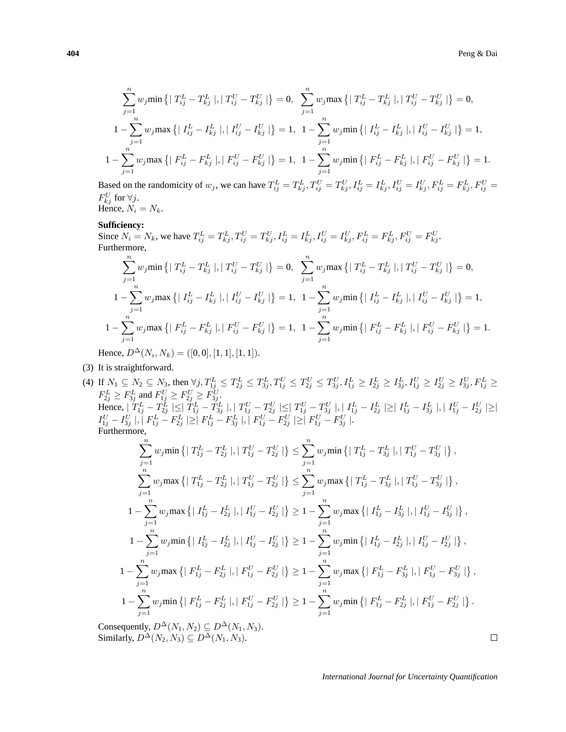$$
\sum_{j=1}^{n} w_j \min \left\{ | T_{ij}^L - T_{kj}^L |, | T_{ij}^U - T_{kj}^U | \right\} = 0, \sum_{j=1}^{n} w_j \max \left\{ | T_{ij}^L - T_{kj}^L |, | T_{ij}^U - T_{kj}^U | \right\} = 0,
$$
  

$$
1 - \sum_{j=1}^{n} w_j \max \left\{ | I_{ij}^L - I_{kj}^L |, | I_{ij}^U - I_{kj}^U | \right\} = 1, 1 - \sum_{j=1}^{n} w_j \min \left\{ | I_{ij}^L - I_{kj}^L |, | I_{ij}^U - I_{kj}^U | \right\} = 1,
$$
  

$$
1 - \sum_{j=1}^{n} w_j \max \left\{ | F_{ij}^L - F_{kj}^L |, | F_{ij}^U - F_{kj}^U | \right\} = 1, 1 - \sum_{j=1}^{n} w_j \min \left\{ | F_{ij}^L - F_{kj}^L |, | F_{ij}^U - F_{kj}^U | \right\} = 1.
$$

Based on the randomicity of  $w_j$ , we can have  $T_{ij}^L = T_{kj}^L, T_{ij}^U = T_{kj}^U, I_{ij}^L = I_{kj}^L, I_{ij}^U = I_{kj}^U, F_{ij}^L = F_{kj}^L, F_{ij}^U = I_{ij}^U$  $F_{kj}^U$  for  $\forall j$ . Hence,  $N_i = N_k$ .

#### **Sufficiency:**

Since  $N_i = N_k$ , we have  $T_{ij}^L = T_{kj}^L$ ,  $T_{ij}^U = T_{kj}^U$ ,  $I_{ij}^L = I_{kj}^L$ ,  $I_{ij}^U = I_{kj}^U$ ,  $F_{ij}^L = F_{kj}^L$ ,  $F_{ij}^U = F_{kj}^U$ . Furthermore,

$$
\sum_{j=1}^{n} w_j \min \left\{ | T_{ij}^L - T_{kj}^L |, | T_{ij}^U - T_{kj}^U | \right\} = 0, \sum_{j=1}^{n} w_j \max \left\{ | T_{ij}^L - T_{kj}^L |, | T_{ij}^U - T_{kj}^U | \right\} = 0,
$$
  
\n
$$
1 - \sum_{j=1}^{n} w_j \max \left\{ | I_{ij}^L - I_{kj}^L |, | I_{ij}^U - I_{kj}^U | \right\} = 1, 1 - \sum_{j=1}^{n} w_j \min \left\{ | I_{ij}^L - I_{kj}^L |, | I_{ij}^U - I_{kj}^U | \right\} = 1,
$$
  
\n
$$
1 - \sum_{j=1}^{n} w_j \max \left\{ | F_{ij}^L - F_{kj}^L |, | F_{ij}^U - F_{kj}^U | \right\} = 1, 1 - \sum_{j=1}^{n} w_j \min \left\{ | F_{ij}^L - F_{kj}^L |, | F_{ij}^U - F_{kj}^U | \right\} = 1.
$$
  
\nHence,  $D^{\Delta}(N_i, N_k) = ([0, 0], [1, 1], [1, 1]).$ 

(3) It is straightforward.

(4) If  $N_1 \subseteq N_2 \subseteq N_3$ , then  $\forall j$ ,  $T_{1j}^L \leq T_{2j}^L \leq T_{3j}^L$ ,  $T_{1j}^U \leq T_{2j}^U \leq T_{3j}^U$ ,  $I_{1j}^L \geq I_{2j}^L \geq I_{3j}^L$ ,  $I_{1j}^U \geq I_{2j}^U \geq I_{3j}^U$ ,  $F_{1j}^L \geq I_{3j}^U$  $F_{2j}^L \ge F_{3j}^L$  and  $F_{1j}^U \ge F_{2j}^U \ge F_{3j}^U$ . Hence,  $|T_{1j}^L - T_{2j}^L| \leq |T_{1j}^L - T_{3j}^L|$ ,  $|T_{1j}^U - T_{2j}^U| \leq |T_{1j}^U - T_{3j}^U|$ ,  $|I_{1j}^L - I_{2j}^L| \geq |I_{1j}^L - I_{3j}^L|$ ,  $|I_{1j}^U - I_{2j}^U| \geq |I_{1j}^L - I_{3j}^L|$  $\left|I_{1j}^{U}-I_{3j}^{U}\right|, \left|\ F_{1j}^{L}-F_{2j}^{L}\right| \geq \mid F_{1j}^{L}-F_{3j}^{L}\mid, \left|\ F_{1j}^{U}-F_{2j}^{U}\right| \geq \mid F_{1j}^{U}-F_{3j}^{U}\mid.$ Furthermore,

$$
\sum_{j=1}^{n} w_j \min \left\{ | T_{1j}^{L} - T_{2j}^{L} |, | T_{1j}^{U} - T_{2j}^{U} | \right\} \leq \sum_{j=1}^{n} w_j \min \left\{ | T_{1j}^{L} - T_{3j}^{L} |, | T_{1j}^{U} - T_{3j}^{U} | \right\},
$$
\n
$$
\sum_{j=1}^{n} w_j \max \left\{ | T_{1j}^{L} - T_{2j}^{L} |, | T_{1j}^{U} - T_{2j}^{U} | \right\} \leq \sum_{j=1}^{n} w_j \max \left\{ | T_{1j}^{L} - T_{3j}^{L} |, | T_{1j}^{U} - T_{3j}^{U} | \right\},
$$
\n
$$
1 - \sum_{j=1}^{n} w_j \max \left\{ | I_{1j}^{L} - I_{2j}^{L} |, | I_{1j}^{U} - I_{2j}^{U} | \right\} \geq 1 - \sum_{j=1}^{n} w_j \max \left\{ | I_{1j}^{L} - I_{3j}^{L} |, | I_{1j}^{U} - I_{3j}^{U} | \right\},
$$
\n
$$
1 - \sum_{j=1}^{n} w_j \min \left\{ | I_{1j}^{L} - I_{2j}^{L} |, | I_{1j}^{U} - I_{2j}^{U} | \right\} \geq 1 - \sum_{j=1}^{n} w_j \min \left\{ | I_{1j}^{L} - I_{2j}^{L} |, | I_{1j}^{U} - I_{2j}^{U} | \right\},
$$
\n
$$
1 - \sum_{j=1}^{n} w_j \max \left\{ | F_{1j}^{L} - F_{2j}^{L} |, | F_{1j}^{U} - F_{2j}^{U} | \right\} \geq 1 - \sum_{j=1}^{n} w_j \max \left\{ | F_{1j}^{L} - F_{3j}^{L} |, | F_{1j}^{U} - F_{3j}^{U} | \right\},
$$
\n
$$
1 - \sum_{j=1}^{n} w_j \min \left\{ | F_{1j}^{L} - F_{2j}^{L} |, | F_{1j}^{U} - F_{2j}^{U} | \right\} \geq 1 - \sum
$$

Consequently,  $D^{\Delta}(N_1, N_2) \subseteq D^{\Delta}(N_1, N_3)$ . Similarly,  $D^{\Delta}(N_2, N_3) \subseteq D^{\Delta}(N_1, N_3)$ .

$$
\qquad \qquad \Box
$$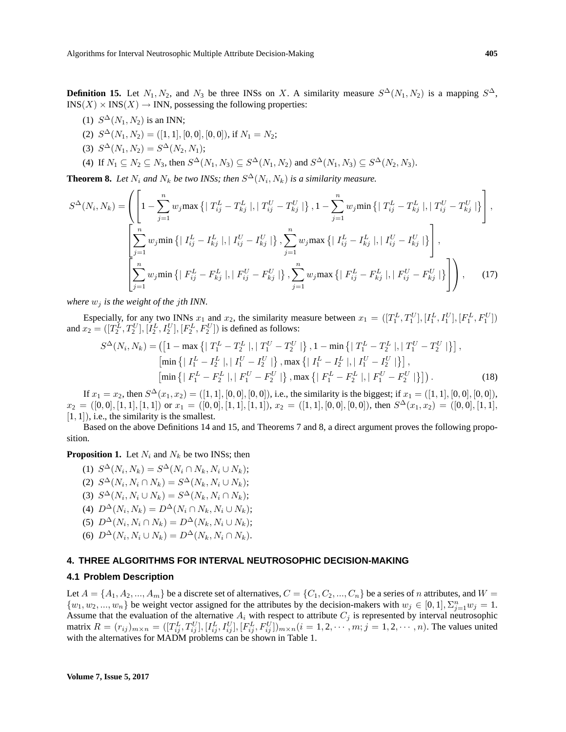**Definition 15.** Let  $N_1, N_2$ , and  $N_3$  be three INSs on X. A similarity measure  $S^{\Delta}(N_1, N_2)$  is a mapping  $S^{\Delta}$ ,  $INS(X) \times INS(X) \rightarrow INN$ , possessing the following properties:

- (1)  $S^{\Delta}(N_1, N_2)$  is an INN;
- (2)  $S^{\Delta}(N_1, N_2) = ([1, 1], [0, 0], [0, 0]),$  if  $N_1 = N_2$ ;
- (3)  $S^{\Delta}(N_1, N_2) = S^{\Delta}(N_2, N_1);$
- (4) If  $N_1 \subseteq N_2 \subseteq N_3$ , then  $S^{\Delta}(N_1, N_3) \subseteq S^{\Delta}(N_1, N_2)$  and  $S^{\Delta}(N_1, N_3) \subseteq S^{\Delta}(N_2, N_3)$ .

**Theorem 8.** Let  $N_i$  and  $N_k$  be two INSs; then  $S^{\Delta}(N_i, N_k)$  is a similarity measure.  $\overline{\phantom{a}}$  $\frac{1}{2}$ 

$$
S^{\Delta}(N_i, N_k) = \left( \left[ 1 - \sum_{j=1}^{n} w_j \max \left\{ \mid T_{ij}^{L} - T_{kj}^{L} \mid, \mid T_{ij}^{U} - T_{kj}^{U} \mid \right\}, 1 - \sum_{j=1}^{n} w_j \min \left\{ \mid T_{ij}^{L} - T_{kj}^{L} \mid, \mid T_{ij}^{U} - T_{kj}^{U} \mid \right\} \right],
$$
  

$$
\left[ \sum_{j=1}^{n} w_j \min \left\{ \mid I_{ij}^{L} - I_{kj}^{L} \mid, \mid I_{ij}^{U} - I_{kj}^{U} \mid \right\}, \sum_{j=1}^{n} w_j \max \left\{ \mid I_{ij}^{L} - I_{kj}^{L} \mid, \mid I_{ij}^{U} - I_{kj}^{U} \mid \right\} \right],
$$
  

$$
\left[ \sum_{j=1}^{n} w_j \min \left\{ \mid F_{ij}^{L} - F_{kj}^{L} \mid, \mid F_{ij}^{U} - F_{kj}^{U} \mid \right\}, \sum_{j=1}^{n} w_j \max \left\{ \mid F_{ij}^{L} - F_{kj}^{L} \mid, \mid F_{ij}^{U} - F_{kj}^{U} \mid \right\} \right),
$$
(17)

*where*  $w_i$  *is the weight of the jth INN.* 

Especially, for any two INNs  $x_1$  and  $x_2$ , the similarity measure between  $x_1 = ([T_1^L, T_1^U], [I_1^L, I_1^U], [F_1^L, F_1^U])$ and  $x_2 = ([T_2^L, T_2^U], [I_2^L, I_2^U], [F_2^L, F_2^U])$  is defined as follows:

$$
S^{\Delta}(N_i, N_k) = \left( \left[ 1 - \max \left\{ \mid T_1^L - T_2^L \mid, \mid T_1^U - T_2^U \mid \right\}, 1 - \min \left\{ \mid T_1^L - T_2^L \mid, \mid T_1^U - T_2^U \mid \right\} \right],
$$
  
\n
$$
\left[ \min \left\{ \mid I_1^L - I_2^L \mid, \mid I_1^U - I_2^U \mid \right\}, \max \left\{ \mid I_1^L - I_2^L \mid, \mid I_1^U - I_2^U \mid \right\} \right],
$$
  
\n
$$
\left[ \min \left\{ \mid F_1^L - F_2^L \mid, \mid F_1^U - F_2^U \mid \right\}, \max \left\{ \mid F_1^L - F_2^L \mid, \mid F_1^U - F_2^U \mid \right\} \right] \right). \tag{18}
$$

If  $x_1 = x_2$ , then  $S^{\Delta}(x_1, x_2) = ([1, 1], [0, 0], [0, 0])$ , i.e., the similarity is the biggest; if  $x_1 = ([1, 1], [0, 0], [0, 0])$ ,  $x_2 = ([0,0], [1,1], [1,1])$  or  $x_1 = ([0,0], [1,1], [1,1])$ ,  $x_2 = ([1,1], [0,0], [0,0])$ , then  $S^{\Delta}(x_1, x_2) = ([0,0], [1,1],$  $[1, 1]$ , i.e., the similarity is the smallest.

Based on the above Definitions 14 and 15, and Theorems 7 and 8, a direct argument proves the following proposition.

**Proposition 1.** Let  $N_i$  and  $N_k$  be two INSs; then

- (1)  $S^{\Delta}(N_i, N_k) = S^{\Delta}(N_i \cap N_k, N_i \cup N_k);$ (2)  $S^{\Delta}(N_i, N_i \cap N_k) = S^{\Delta}(N_k, N_i \cup N_k);$ (3)  $S^{\Delta}(N_i, N_i \cup N_k) = S^{\Delta}(N_k, N_i \cap N_k);$
- (4)  $D^{\Delta}(N_i, N_k) = D^{\Delta}(N_i \cap N_k, N_i \cup N_k);$
- (5)  $D^{\Delta}(N_i, N_i \cap N_k) = D^{\Delta}(N_k, N_i \cup N_k);$
- (6)  $D^{\Delta}(N_i, N_i \cup N_k) = D^{\Delta}(N_k, N_i \cap N_k)$ .

## **4. THREE ALGORITHMS FOR INTERVAL NEUTROSOPHIC DECISION-MAKING**

#### **4.1 Problem Description**

Let  $A = \{A_1, A_2, ..., A_m\}$  be a discrete set of alternatives,  $C = \{C_1, C_2, ..., C_n\}$  be a series of n attributes, and  $W =$  $\{w_1, w_2, ..., w_n\}$  be weight vector assigned for the attributes by the decision-makers with  $w_j \in [0, 1], \sum_{j=1}^n w_j = 1$ . Assume that the evaluation of the alternative  $A_i$  with respect to attribute  $C_j$  is represented by interval neutrosophic matrix  $R = (r_{ij})_{m \times n} = ([T_{ij}^L, T_{ij}^U], [I_{ij}^L, I_{ij}^U], [F_{ij}^L, F_{ij}^U])_{m \times n} (i = 1, 2, \dots, m; j = 1, 2, \dots, n)$ . The values united with the alternatives for MADM problems can be shown in Table 1.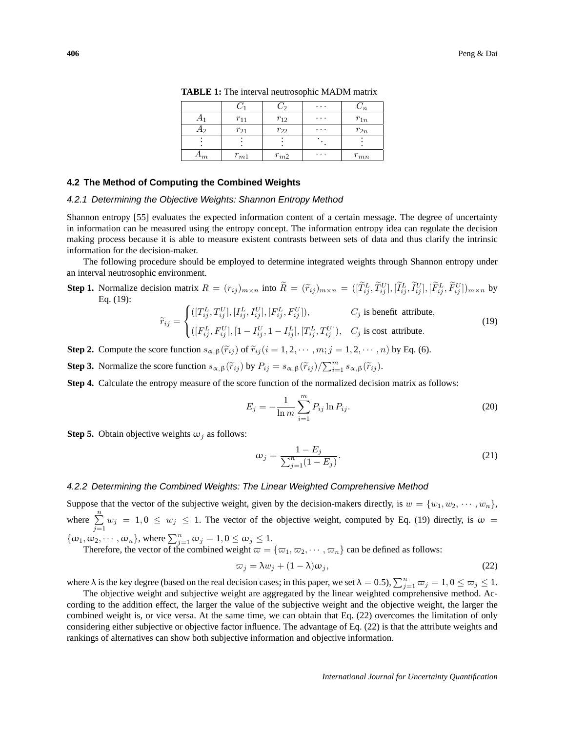|       |          |          | $\cdots$ | $^{\prime}n$ |
|-------|----------|----------|----------|--------------|
|       | $r_{11}$ | $r_{12}$ | $\cdots$ | $r_{1n}$     |
|       | $r_{21}$ | $r_{22}$ | $\cdots$ | $r_{2n}$     |
|       |          |          |          |              |
| $A_m$ | $r_{m1}$ | $r_{m2}$ | $\cdots$ | $r_{mn}$     |

**TABLE 1:** The interval neutrosophic MADM matrix

#### **4.2 The Method of Computing the Combined Weights**

#### 4.2.1 Determining the Objective Weights: Shannon Entropy Method

Shannon entropy [55] evaluates the expected information content of a certain message. The degree of uncertainty in information can be measured using the entropy concept. The information entropy idea can regulate the decision making process because it is able to measure existent contrasts between sets of data and thus clarify the intrinsic information for the decision-maker.

The following procedure should be employed to determine integrated weights through Shannon entropy under an interval neutrosophic environment.

**Step 1.** Normalize decision matrix  $R = (r_{ij})_{m \times n}$  into  $\widetilde{R} = (\widetilde{r}_{ij})_{m \times n} = ([\widetilde{T}_{ij}^L, \widetilde{T}_{ij}^U], [\widetilde{I}_{ij}^L, \widetilde{I}_{ij}^U], [\widetilde{F}_{ij}^L, \widetilde{F}_{ij}^U]_{m \times n}$  by Eq. (19):  $\overline{\phantom{a}}$ 

$$
\widetilde{r}_{ij} = \begin{cases}\n([T_{ij}^L, T_{ij}^U], [I_{ij}^L, I_{ij}^U], [F_{ij}^L, F_{ij}^U]), & C_j \text{ is benefit attribute,} \\
([F_{ij}^L, F_{ij}^U], [1 - I_{ij}^U, 1 - I_{ij}^L], [T_{ij}^L, T_{ij}^U]), & C_j \text{ is cost attribute.}\n\end{cases}
$$
\n(19)

**Step 2.** Compute the score function  $s_{\alpha,\beta}(\tilde{r}_{ij})$  of  $\tilde{r}_{ij}$  ( $i = 1, 2, \dots, m; j = 1, 2, \dots, n$ ) by Eq. (6).

**Step 3.** Normalize the score function  $s_{\alpha,\beta}(\tilde{r}_{ij})$  by  $P_{ij} = s_{\alpha,\beta}(\tilde{r}_{ij})/\sum_{i=1}^{m}$  $_{i=1}^{m}s_{\alpha,\beta}(\widetilde{r}_{ij}).$ 

**Step 4.** Calculate the entropy measure of the score function of the normalized decision matrix as follows:

$$
E_j = -\frac{1}{\ln m} \sum_{i=1}^{m} P_{ij} \ln P_{ij}.
$$
 (20)

**Step 5.** Obtain objective weights  $\omega_i$  as follows:

$$
\omega_j = \frac{1 - E_j}{\sum_{j=1}^n (1 - E_j)}.
$$
\n(21)

#### 4.2.2 Determining the Combined Weights: The Linear Weighted Comprehensive Method

Suppose that the vector of the subjective weight, given by the decision-makers directly, is  $w = \{w_1, w_2, \dots, w_n\}$ , where  $\sum_{n=1}^{\infty}$  $\sum_{j=1} w_j = 1, 0 \le w_j \le 1$ . The vector of the objective weight, computed by Eq. (19) directly, is  $\omega =$  ${j=1 \atop j=1}$  { $\omega_1, \omega_2, \cdots, \omega_n$ }, where  $\sum_{j=1}^n \omega_j = 1, 0 \leq \omega_j \leq 1$ .

Therefore, the vector of the combined weight  $\varpi = {\varpi_1, \varpi_2, \cdots, \varpi_n}$  can be defined as follows:

$$
\varpi_j = \lambda w_j + (1 - \lambda)\omega_j,\tag{22}
$$

where  $\lambda$  is the key degree (based on the real decision cases; in this paper, we set  $\lambda = 0.5$ ),  $\sum_{j=1}^{n} \overline{\omega}_j = 1, 0 \le \overline{\omega}_j \le 1$ .

The objective weight and subjective weight are aggregated by the linear weighted comprehensive method. According to the addition effect, the larger the value of the subjective weight and the objective weight, the larger the combined weight is, or vice versa. At the same time, we can obtain that Eq. (22) overcomes the limitation of only considering either subjective or objective factor influence. The advantage of Eq. (22) is that the attribute weights and rankings of alternatives can show both subjective information and objective information.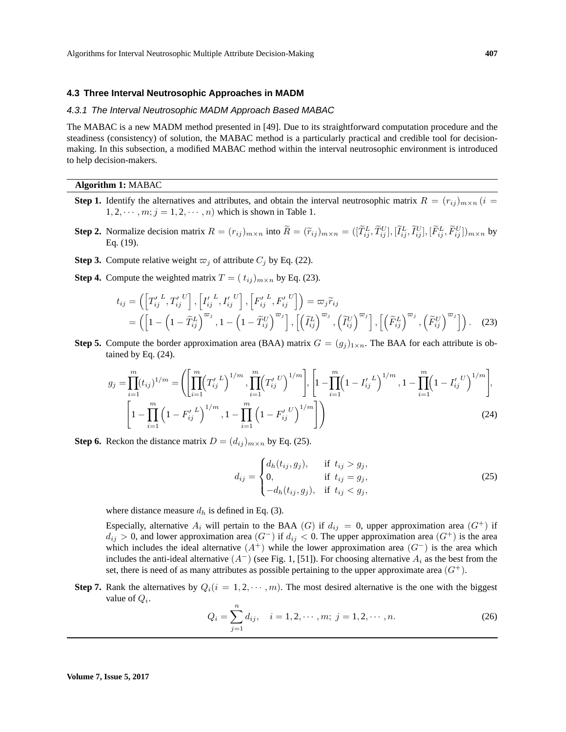#### **4.3 Three Interval Neutrosophic Approaches in MADM**

#### 4.3.1 The Interval Neutrosophic MADM Approach Based MABAC

The MABAC is a new MADM method presented in [49]. Due to its straightforward computation procedure and the steadiness (consistency) of solution, the MABAC method is a particularly practical and credible tool for decisionmaking. In this subsection, a modified MABAC method within the interval neutrosophic environment is introduced to help decision-makers.

#### **Algorithm 1:** MABAC

- **Step 1.** Identify the alternatives and attributes, and obtain the interval neutrosophic matrix  $R = (r_{ij})_{m \times n}$  (i =  $1, 2, \dots, m; j = 1, 2, \dots, n$  which is shown in Table 1.
- **Step 2.** Normalize decision matrix  $R = (r_{ij})_{m \times n}$  into  $\widetilde{R} = (\widetilde{r}_{ij})_{m \times n} = ([\widetilde{T}_{ij}^L, \widetilde{T}_{ij}^U], [\widetilde{I}_{ij}^L, \widetilde{I}_{ij}^U], [\widetilde{F}_{ij}^L, \widetilde{F}_{ij}^U]_{m \times n}$  by Eq. (19).
- **Step 3.** Compute relative weight  $\varpi_j$  of attribute  $C_j$  by Eq. (22).
- **Step 4.** Compute the weighted matrix  $T = (t_{ij})_{m \times n}$  by Eq. (23).

$$
t_{ij} = \left( \left[ T'_{ij}^L, T'_{ij}^U \right], \left[ I'_{ij}^L, I'_{ij}^U \right], \left[ F'_{ij}^L, F'_{ij}^U \right] \right) = \varpi_j \widetilde{r}_{ij}
$$
  
= 
$$
\left( \left[ 1 - \left( 1 - \widetilde{T}_{ij}^L \right)^{\varpi_j}, 1 - \left( 1 - \widetilde{T}_{ij}^U \right)^{\varpi_j} \right], \left[ \left( \widetilde{T}_{ij}^L \right)^{\varpi_j}, \left( \widetilde{T}_{ij}^U \right)^{\varpi_j} \right], \left[ \left( \widetilde{F}_{ij}^L \right)^{\varpi_j}, \left( \widetilde{F}_{ij}^U \right)^{\varpi_j} \right] \right). \tag{23}
$$

**Step 5.** Compute the border approximation area (BAA) matrix  $G = (g_i)_{1 \times n}$ . The BAA for each attribute is obtained by Eq. (24).

$$
g_j = \prod_{i=1}^m (t_{ij})^{1/m} = \left( \left[ \prod_{i=1}^m (T'_{ij}^L)^{1/m}, \prod_{i=1}^m (T'_{ij}^U)^{1/m} \right], \left[ 1 - \prod_{i=1}^m (1 - I'_{ij}^L)^{1/m}, 1 - \prod_{i=1}^m (1 - I'_{ij}^U)^{1/m} \right],
$$
  

$$
\left[ 1 - \prod_{i=1}^m \left( 1 - F'_{ij}^L \right)^{1/m}, 1 - \prod_{i=1}^m \left( 1 - F'_{ij}^U \right)^{1/m} \right] \right)
$$
(24)

**Step 6.** Reckon the distance matrix  $D = (d_{ij})_{m \times n}$  by Eq. (25).

$$
d_{ij} = \begin{cases} d_h(t_{ij}, g_j), & \text{if } t_{ij} > g_j, \\ 0, & \text{if } t_{ij} = g_j, \\ -d_h(t_{ij}, g_j), & \text{if } t_{ij} < g_j, \end{cases}
$$
 (25)

where distance measure  $d_h$  is defined in Eq. (3).

Especially, alternative  $A_i$  will pertain to the BAA (G) if  $d_{ij} = 0$ , upper approximation area (G<sup>+</sup>) if  $d_{ij} > 0$ , and lower approximation area  $(G^-)$  if  $d_{ij} < 0$ . The upper approximation area  $(G^+)$  is the area which includes the ideal alternative  $(A^+)$  while the lower approximation area  $(G^-)$  is the area which includes the anti-ideal alternative  $(A^-)$  (see Fig. 1, [51]). For choosing alternative  $A_i$  as the best from the set, there is need of as many attributes as possible pertaining to the upper approximate area  $(G^+)$ .

**Step 7.** Rank the alternatives by  $Q_i(i = 1, 2, \dots, m)$ . The most desired alternative is the one with the biggest value of  $Q_i$ .

$$
Q_i = \sum_{j=1}^n d_{ij}, \quad i = 1, 2, \cdots, m; \ j = 1, 2, \cdots, n.
$$
 (26)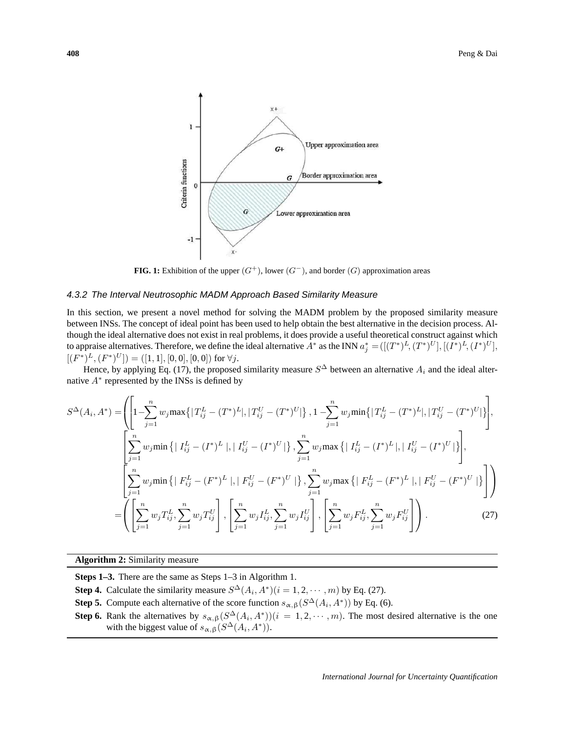

**FIG. 1:** Exhibition of the upper  $(G^+)$ , lower  $(G^-)$ , and border  $(G)$  approximation areas

## 4.3.2 The Interval Neutrosophic MADM Approach Based Similarity Measure

In this section, we present a novel method for solving the MADM problem by the proposed similarity measure between INSs. The concept of ideal point has been used to help obtain the best alternative in the decision process. Although the ideal alternative does not exist in real problems, it does provide a useful theoretical construct against which to appraise alternatives. Therefore, we define the ideal alternative  $A^*$  as the INN  $a_j^* = ([(T^*)^L, (T^*)^U], [(I^*)^L, (I^*)^U],$  $[(F^*)^L, (F^*)^U] = ([1, 1], [0, 0], [0, 0])$  for  $\forall j$ .

Hence, by applying Eq. (17), the proposed similarity measure  $S^{\Delta}$  between an alternative  $A_i$  and the ideal alternative  $A^*$  represented by the INSs is defined by

$$
S^{\Delta}(A_{i}, A^{*}) = \left( \left[ 1 - \sum_{j=1}^{n} w_{j} \max \{ |T_{ij}^{L} - (T^{*})^{L}|, |T_{ij}^{U} - (T^{*})^{U}| \}, 1 - \sum_{j=1}^{n} w_{j} \min \{ |T_{ij}^{L} - (T^{*})^{L}|, |T_{ij}^{U} - (T^{*})^{U}| \} \right],
$$
  

$$
\left[ \sum_{j=1}^{n} w_{j} \min \{ |I_{ij}^{L} - (I^{*})^{L}|, |I_{ij}^{U} - (I^{*})^{U}| \}, \sum_{j=1}^{n} w_{j} \max \{ |I_{ij}^{L} - (I^{*})^{L}|, |I_{ij}^{U} - (I^{*})^{U}| \} \right],
$$
  

$$
= \left( \sum_{j=1}^{n} w_{j} \min \{ |F_{ij}^{L} - (F^{*})^{L}|, |F_{ij}^{U} - (F^{*})^{U}| \}, \sum_{j=1}^{n} w_{j} \max \{ |F_{ij}^{L} - (F^{*})^{L}|, |F_{ij}^{U} - (F^{*})^{U}| \} \} \right) \right)
$$
  

$$
= \left( \left[ \sum_{j=1}^{n} w_{j} T_{ij}^{L}, \sum_{j=1}^{n} w_{j} T_{ij}^{U} \right], \left[ \sum_{j=1}^{n} w_{j} I_{ij}^{L}, \sum_{j=1}^{n} w_{j} I_{ij}^{U} \right], \left[ \sum_{j=1}^{n} w_{j} F_{ij}^{L}, \sum_{j=1}^{n} w_{j} F_{ij}^{U} \right] \right). \tag{27}
$$

**Algorithm 2:** Similarity measure

**Steps 1–3.** There are the same as Steps 1–3 in Algorithm 1.

**Step 4.** Calculate the similarity measure  $S^{\Delta}(A_i, A^*)(i = 1, 2, \dots, m)$  by Eq. (27).

**Step 5.** Compute each alternative of the score function  $s_{\alpha,\beta}(S^{\Delta}(A_i, A^*))$  by Eq. (6).

**Step 6.** Rank the alternatives by  $s_{\alpha,\beta}(S^{\Delta}(A_i, A^*))$  ( $i = 1, 2, \cdots, m$ ). The most desired alternative is the one with the biggest value of  $s_{\alpha,\beta}(S^{\Delta}(A_i, A^*))$ .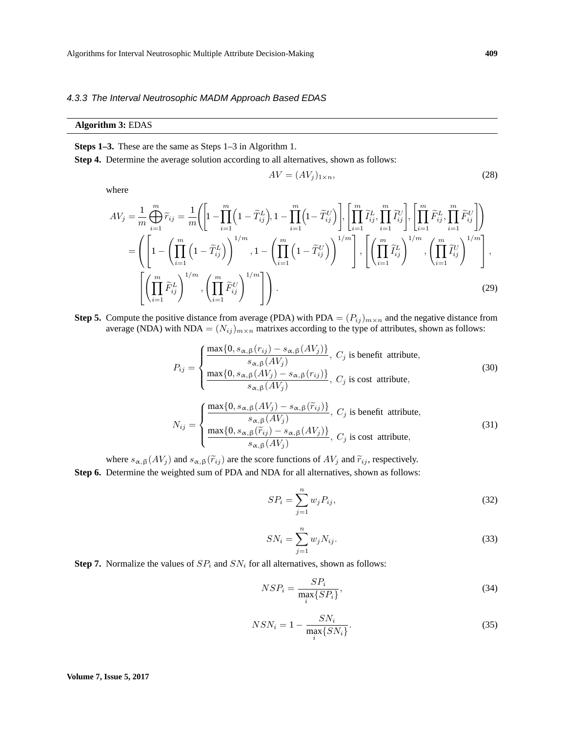## 4.3.3 The Interval Neutrosophic MADM Approach Based EDAS

## **Algorithm 3:** EDAS

**Steps 1–3.** These are the same as Steps 1–3 in Algorithm 1.

**Step 4.** Determine the average solution according to all alternatives, shown as follows:

$$
AV = (AVj)1×n,
$$
\n(28)

where

$$
AV_j = \frac{1}{m} \bigoplus_{i=1}^m \widetilde{r}_{ij} = \frac{1}{m} \Biggl( \Biggl[ 1 - \prod_{i=1}^m \Biggl( 1 - \widetilde{T}_{ij}^L \Biggr), 1 - \prod_{i=1}^m \Biggl( 1 - \widetilde{T}_{ij}^U \Biggr) \Biggr], \Biggl[ \prod_{i=1}^m \widetilde{T}_{ij}^L, \prod_{i=1}^m \widetilde{T}_{ij}^U \Biggr], \Biggl[ \prod_{i=1}^m \widetilde{F}_{ij}^L, \prod_{i=1}^m \widetilde{F}_{ij}^U \Biggr] \Biggr)
$$
  
\n
$$
= \Biggl( \Biggl[ 1 - \Biggl( \prod_{i=1}^m \Biggl( 1 - \widetilde{T}_{ij}^L \Biggr) \Biggr)^{1/m}, 1 - \Biggl( \prod_{i=1}^m \Biggl( 1 - \widetilde{T}_{ij}^U \Biggr) \Biggr)^{1/m} \Biggr], \Biggl[ \Biggl( \prod_{i=1}^m \widetilde{T}_{ij}^L \Biggr)^{1/m}, \Biggl( \prod_{i=1}^m \widetilde{T}_{ij}^U \Biggr)^{1/m} \Biggr], \Biggl[ \Biggl( \prod_{i=1}^m \widetilde{F}_{ij}^L \Biggr)^{1/m}, \Biggl( \prod_{i=1}^m \widetilde{F}_{ij}^U \Biggr)^{1/m} \Biggr], \Biggl[ \Biggl( \prod_{i=1}^m \widetilde{F}_{ij}^L, \Biggl( \prod_{i=1}^m \widetilde{F}_{ij}^U \Biggr)^{1/m} \Biggr], \Biggl[ \Biggl( \prod_{i=1}^m \widetilde{F}_{ij}^U \Biggr)^{1/m} \Biggr], \Biggl[ \Biggl( \prod_{i=1}^m \widetilde{F}_{ij}^U \Biggr)^{1/m} \Biggr], \Biggl[ \Biggl( \prod_{i=1}^m \widetilde{F}_{ij}^U \Biggr)^{1/m} \Biggr], \Biggl[ \Biggl( \prod_{i=1}^m \widetilde{F}_{ij}^U \Biggr)^{1/m} \Biggr], \Biggl[ \Biggl( \prod_{i=1}^m \widetilde{F}_{ij}^U \Biggr)^{1/m} \Biggr], \Biggl[ \Biggl( \prod_{i=1}^m \widetilde{
$$

**Step 5.** Compute the positive distance from average (PDA) with PDA =  $(P_{ij})_{m \times n}$  and the negative distance from average (NDA) with NDA =  $(N_{ij})_{m \times n}$  matrixes according to the type of attributes, shown as follows:

$$
P_{ij} = \begin{cases} \frac{\max\{0, s_{\alpha,\beta}(r_{ij}) - s_{\alpha,\beta}(AV_j)\}}{s_{\alpha,\beta}(AV_j)}, & C_j \text{ is benefit attribute,} \\ \frac{\max\{0, s_{\alpha,\beta}(AV_j) - s_{\alpha,\beta}(r_{ij})\}}{s_{\alpha,\beta}(AV_j)}, & C_j \text{ is cost attribute,} \end{cases}
$$
(30)

$$
N_{ij} = \begin{cases} \frac{\max\{0, s_{\alpha,\beta}(AV_j) - s_{\alpha,\beta}(\tilde{r}_{ij})\}}{s_{\alpha,\beta}(AV_j)}, \ C_j \text{ is benefit attribute,} \\ \frac{\max\{0, s_{\alpha,\beta}(\tilde{r}_{ij}) - s_{\alpha,\beta}(AV_j)\}}{s_{\alpha,\beta}(AV_j)}, \ C_j \text{ is cost attribute,} \end{cases}
$$
(31)

where  $s_{\alpha,\beta}(AV_j)$  and  $s_{\alpha,\beta}(\tilde{r}_{ij})$  are the score functions of  $AV_j$  and  $\tilde{r}_{ij}$ , respectively. **Step 6.** Determine the weighted sum of PDA and NDA for all alternatives, shown as follows:

$$
SP_i = \sum_{j=1}^{n} w_j P_{ij},\tag{32}
$$

$$
SN_i = \sum_{j=1}^{n} w_j N_{ij}.
$$
\n
$$
(33)
$$

**Step 7.** Normalize the values of  $SP_i$  and  $SN_i$  for all alternatives, shown as follows:

$$
NSP_i = \frac{SP_i}{\max_i \{SP_i\}},\tag{34}
$$

$$
NSN_i = 1 - \frac{SN_i}{\max_i \{SN_i\}}.\tag{35}
$$

**Volume 7, Issue 5, 2017**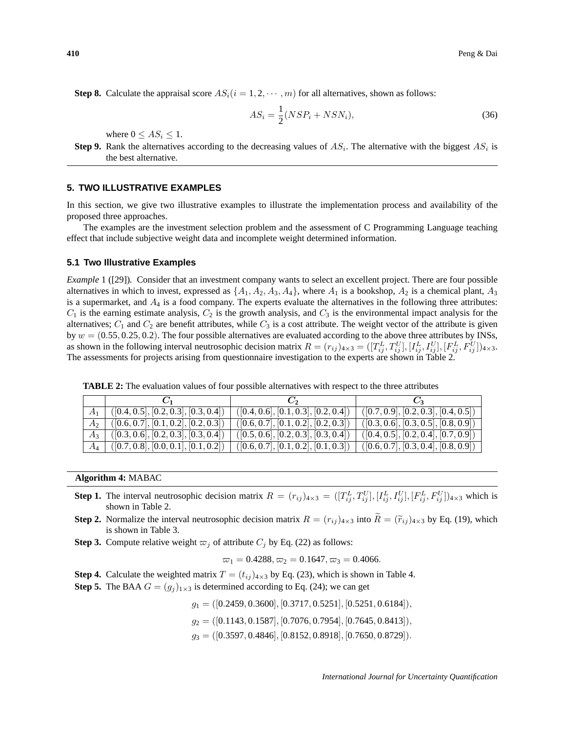**Step 8.** Calculate the appraisal score  $AS_i(i = 1, 2, \dots, m)$  for all alternatives, shown as follows:

$$
AS_i = \frac{1}{2}(NSP_i + NSN_i),\tag{36}
$$

where  $0 \leq AS_i \leq 1$ .

**Step 9.** Rank the alternatives according to the decreasing values of  $AS_i$ . The alternative with the biggest  $AS_i$  is the best alternative.

#### **5. TWO ILLUSTRATIVE EXAMPLES**

In this section, we give two illustrative examples to illustrate the implementation process and availability of the proposed three approaches.

The examples are the investment selection problem and the assessment of C Programming Language teaching effect that include subjective weight data and incomplete weight determined information.

### **5.1 Two Illustrative Examples**

*Example* 1 ([29])*.* Consider that an investment company wants to select an excellent project. There are four possible alternatives in which to invest, expressed as  $\{A_1, A_2, A_3, A_4\}$ , where  $A_1$  is a bookshop,  $A_2$  is a chemical plant,  $A_3$ is a supermarket, and  $A_4$  is a food company. The experts evaluate the alternatives in the following three attributes:  $C_1$  is the earning estimate analysis,  $C_2$  is the growth analysis, and  $C_3$  is the environmental impact analysis for the alternatives;  $C_1$  and  $C_2$  are benefit attributes, while  $C_3$  is a cost attribute. The weight vector of the attribute is given by  $w = (0.55, 0.25, 0.2)$ . The four possible alternatives are evaluated according to the above three attributes by INSs, as shown in the following interval neutrosophic decision matrix  $R = (r_{ij})_{4 \times 3} = ([T_{ij}^L, T_{ij}^U], [I_{ij}^L, I_{ij}^U], [F_{ij}^L, F_{ij}^U]]_{4 \times 3}$ . The assessments for projects arising from questionnaire investigation to the experts are shown in Table 2.

**TABLE 2:** The evaluation values of four possible alternatives with respect to the three attributes

|                                                        | $\sum_{i=1}^{n}$                     |                                              |
|--------------------------------------------------------|--------------------------------------|----------------------------------------------|
| ([0.4, 0.5], [0.2, 0.3], [0.3, 0.4])                   | ([0.4, 0.6], [0.1, 0.3], [0.2, 0.4]) | ([0.7, 0.9], [0.2, 0.3], [0.4, 0.5])         |
| ([0.6, 0.7], [0.1, 0.2], [0.2, 0.3])                   | ([0.6, 0.7], [0.1, 0.2], [0.2, 0.3]) | ([0.3, 0.6], [0.3, 0.5], [0.8, 0.9])         |
| ([0.3, 0.6], [0.2, 0.3], [0.3, 0.4])                   | ([0.5, 0.6], [0.2, 0.3], [0.3, 0.4]) | ([0.4, 0.5], [0.2, 0.4], [0.7, 0.9])         |
| $\overline{A_4}$ $(0.7, 0.8], [0.0, 0.1], [0.1, 0.2])$ | ([0.6, 0.7], [0.1, 0.2], [0.1, 0.3]) | $\vert$ ([0.6, 0.7], [0.3, 0.4], [0.8, 0.9]) |

**Algorithm 4:** MABAC

- **Step 1.** The interval neutrosophic decision matrix  $R = (r_{ij})_{4 \times 3} = ([T_{ij}^L, T_{ij}^U], [I_{ij}^L, I_{ij}^U], [F_{ij}^L, F_{ij}^U]]_{4 \times 3}$  which is shown in Table 2.
- **Step 2.** Normalize the interval neutrosophic decision matrix  $R = (r_{ij})_{4\times3}$  into  $\widetilde{R} = (\widetilde{r}_{ij})_{4\times3}$  by Eq. (19), which is shown in Table 3.
- **Step 3.** Compute relative weight  $\varpi_j$  of attribute  $C_j$  by Eq. (22) as follows:

 $\varpi_1 = 0.4288, \varpi_2 = 0.1647, \varpi_3 = 0.4066.$ 

**Step 4.** Calculate the weighted matrix  $T = (t_{ij})_{4 \times 3}$  by Eq. (23), which is shown in Table 4.

**Step 5.** The BAA  $G = (g_j)_{1 \times 3}$  is determined according to Eq. (24); we can get

 $g_1 = ([0.2459, 0.3600], [0.3717, 0.5251], [0.5251, 0.6184]),$ 

 $g_2 = ([0.1143, 0.1587], [0.7076, 0.7954], [0.7645, 0.8413]),$ 

 $g_3 = ([0.3597, 0.4846], [0.8152, 0.8918], [0.7650, 0.8729]).$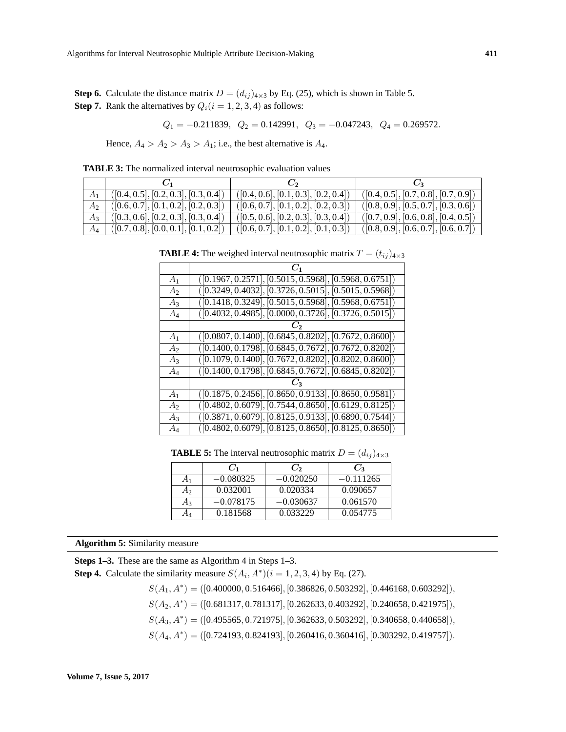**Step 6.** Calculate the distance matrix  $D = (d_{ij})_{4 \times 3}$  by Eq. (25), which is shown in Table 5. **Step 7.** Rank the alternatives by  $Q_i(i = 1, 2, 3, 4)$  as follows:

$$
Q_1 = -0.211839
$$
,  $Q_2 = 0.142991$ ,  $Q_3 = -0.047243$ ,  $Q_4 = 0.269572$ .

Hence,  $A_4 > A_2 > A_3 > A_1$ ; i.e., the best alternative is  $A_4$ .

|                    | $C_1$                                        | $\mathcal{C}$                        | $C_3$                                |
|--------------------|----------------------------------------------|--------------------------------------|--------------------------------------|
|                    | ([0.4, 0.5], [0.2, 0.3], [0.3, 0.4])         | ([0.4, 0.6], [0.1, 0.3], [0.2, 0.4]) | ([0.4, 0.5], [0.7, 0.8], [0.7, 0.9]) |
| $A_2$ <sup>+</sup> | $\vert$ ([0.6, 0.7], [0.1, 0.2], [0.2, 0.3]) | ([0.6, 0.7], [0.1, 0.2], [0.2, 0.3]) | ([0.8, 0.9], [0.5, 0.7], [0.3, 0.6]) |
|                    | $A_3$   ([0.3, 0.6], [0.2, 0.3], [0.3, 0.4]) | ([0.5, 0.6], [0.2, 0.3], [0.3, 0.4]) | ([0.7, 0.9], [0.6, 0.8], [0.4, 0.5]) |
|                    | $A_4$   ([0.7, 0.8], [0.0, 0.1], [0.1, 0.2]) | ([0.6, 0.7], [0.1, 0.2], [0.1, 0.3]) | ([0.8, 0.9], [0.6, 0.7], [0.6, 0.7]) |

**TABLE 3:** The normalized interval neutrosophic evaluation values

|                | $C_1$                                                    |
|----------------|----------------------------------------------------------|
| A <sub>1</sub> | $([0.1967, 0.2571], [0.5015, 0.5968], [0.5968, 0.6751])$ |
| $A_2$          | $([0.3249, 0.4032], [0.3726, 0.5015], [0.5015, 0.5968])$ |
| $A_3$          | $([0.1418, 0.3249], [0.5015, 0.5968], [0.5968, 0.6751])$ |
| $A_4$          | $([0.4032, 0.4985], [0.0000, 0.3726], [0.3726, 0.5015])$ |
|                |                                                          |
| $A_1$          | $([0.0807, 0.1400], [0.6845, 0.8202], [0.7672, 0.8600])$ |
| A <sub>2</sub> | $([0.1400, 0.1798], [0.6845, 0.7672], [0.7672, 0.8202])$ |
| $A_3$          | $([0.1079, 0.1400], [0.7672, 0.8202], [0.8202, 0.8600])$ |
| $A_4$          | $([0.1400, 0.1798], [0.6845, 0.7672], [0.6845, 0.8202])$ |
|                |                                                          |
| A <sub>1</sub> | $([0.1875, 0.2456], [0.8650, 0.9133], [0.8650, 0.9581])$ |
| A <sub>2</sub> | $([0.4802, 0.6079], [0.7544, 0.8650], [0.6129, 0.8125])$ |
| $A_3$          | $([0.3871, 0.6079], [0.8125, 0.9133], [0.6890, 0.7544])$ |
| $A_4$          | $([0.4802, 0.6079], [0.8125, 0.8650], [0.8125, 0.8650])$ |

**TABLE 4:** The weighed interval neutrosophic matrix  $T = (t_{ij})_{4 \times 3}$ 

**TABLE 5:** The interval neutrosophic matrix  $D = (d_{ij})_{4 \times 3}$ 

|                | $C_1$       | $C_2$       |             |
|----------------|-------------|-------------|-------------|
| A <sub>1</sub> | $-0.080325$ | $-0.020250$ | $-0.111265$ |
| A٥             | 0.032001    | 0.020334    | 0.090657    |
| $A_3$          | $-0.078175$ | $-0.030637$ | 0.061570    |
| AΔ             | 0.181568    | 0.033229    | 0.054775    |

**Algorithm 5:** Similarity measure

**Steps 1–3.** These are the same as Algorithm 4 in Steps 1–3.

**Step 4.** Calculate the similarity measure  $S(A_i, A^*)(i = 1, 2, 3, 4)$  by Eq. (27).

 $S(A_1, A^*) = ([0.400000, 0.516466], [0.386826, 0.503292], [0.446168, 0.603292]),$  $S(A_2, A^*) = ([0.681317, 0.781317], [0.262633, 0.403292], [0.240658, 0.421975]),$ 

 $S(A_3, A^*) = ([0.495565, 0.721975], [0.362633, 0.503292], [0.340658, 0.440658]),$ 

 $S(A_4, A^*) = ([0.724193, 0.824193], [0.260416, 0.360416], [0.303292, 0.419757]).$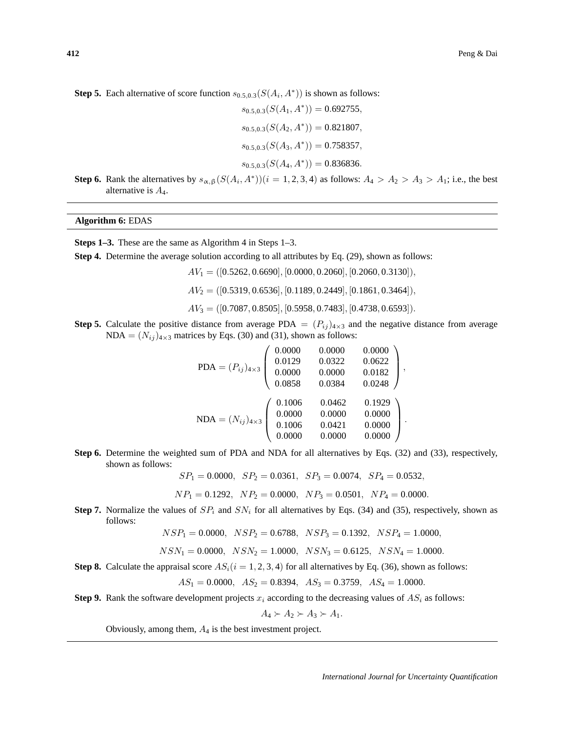**Step 5.** Each alternative of score function  $s_{0.5,0.3}(S(A_i, A^*))$  is shown as follows:

$$
s_{0.5,0.3}(S(A_1, A^*)) = 0.692755,
$$
  
\n
$$
s_{0.5,0.3}(S(A_2, A^*)) = 0.821807,
$$
  
\n
$$
s_{0.5,0.3}(S(A_3, A^*)) = 0.758357,
$$
  
\n
$$
s_{0.5,0.3}(S(A_4, A^*)) = 0.836836.
$$

**Step 6.** Rank the alternatives by  $s_{\alpha,\beta}(S(A_i, A^*))$  ( $i = 1, 2, 3, 4$ ) as follows:  $A_4 > A_2 > A_3 > A_1$ ; i.e., the best alternative is  $A_4$ .

## **Algorithm 6:** EDAS

**Steps 1–3.** These are the same as Algorithm 4 in Steps 1–3.

**Step 4.** Determine the average solution according to all attributes by Eq. (29), shown as follows:

- $AV_1 = ([0.5262, 0.6690], [0.0000, 0.2060], [0.2060, 0.3130]),$
- $AV_2 = ([0.5319, 0.6536], [0.1189, 0.2449], [0.1861, 0.3464]),$
- $AV_3 = ([0.7087, 0.8505], [0.5958, 0.7483], [0.4738, 0.6593]).$
- **Step 5.** Calculate the positive distance from average PDA =  $(P_{ij})_{4\times3}$  and the negative distance from average NDA =  $(N_{ij})_{4\times3}$  matrices by Eqs. (30) and (31), shown as follows:

$$
\text{PDA} = (P_{ij})_{4\times3} \begin{pmatrix} 0.0000 & 0.0000 & 0.0000 \\ 0.0129 & 0.0322 & 0.0622 \\ 0.0000 & 0.0000 & 0.0182 \\ 0.0858 & 0.0384 & 0.0248 \end{pmatrix},
$$

$$
\text{NDA} = (N_{ij})_{4\times3} \begin{pmatrix} 0.1006 & 0.0462 & 0.1929 \\ 0.0000 & 0.0000 & 0.0000 \\ 0.1006 & 0.0421 & 0.0000 \\ 0.0000 & 0.0000 & 0.0000 \end{pmatrix}.
$$

**Step 6.** Determine the weighted sum of PDA and NDA for all alternatives by Eqs. (32) and (33), respectively, shown as follows:

 $SP_1 = 0.0000$ ,  $SP_2 = 0.0361$ ,  $SP_3 = 0.0074$ ,  $SP_4 = 0.0532$ ,

$$
NP_1 = 0.1292
$$
,  $NP_2 = 0.0000$ ,  $NP_3 = 0.0501$ ,  $NP_4 = 0.0000$ .

**Step 7.** Normalize the values of  $SP_i$  and  $SN_i$  for all alternatives by Eqs. (34) and (35), respectively, shown as follows:

$$
NSP_1 = 0.0000, \quad NSP_2 = 0.6788, \quad NSP_3 = 0.1392, \quad NSP_4 = 1.0000,
$$

 $NSN_1 = 0.0000, NSN_2 = 1.0000, NSN_3 = 0.6125, NSN_4 = 1.0000.$ 

**Step 8.** Calculate the appraisal score  $AS_i(i = 1, 2, 3, 4)$  for all alternatives by Eq. (36), shown as follows:

 $AS_1 = 0.0000$ ,  $AS_2 = 0.8394$ ,  $AS_3 = 0.3759$ ,  $AS_4 = 1.0000$ .

**Step 9.** Rank the software development projects  $x_i$  according to the decreasing values of  $AS_i$  as follows:

$$
A_4 \succ A_2 \succ A_3 \succ A_1.
$$

Obviously, among them,  $A_4$  is the best investment project.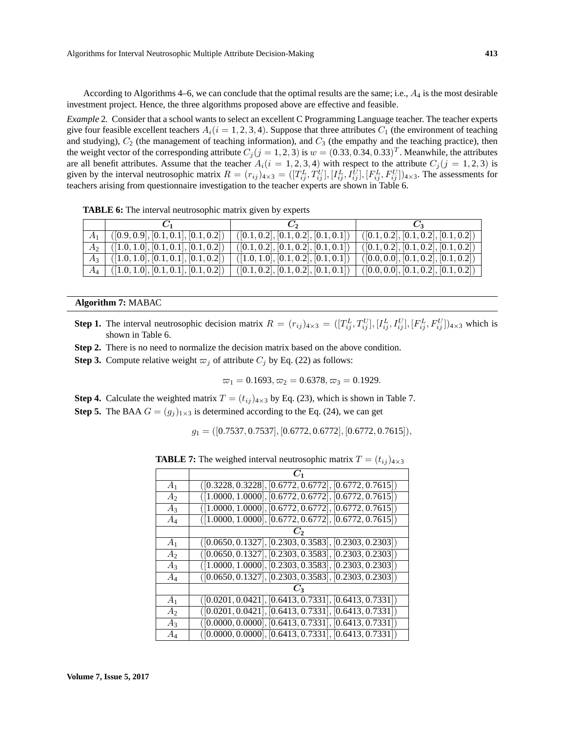According to Algorithms 4–6, we can conclude that the optimal results are the same; i.e.,  $A_4$  is the most desirable investment project. Hence, the three algorithms proposed above are effective and feasible.

*Example* 2*.* Consider that a school wants to select an excellent C Programming Language teacher. The teacher experts give four feasible excellent teachers  $A_i(i = 1, 2, 3, 4)$ . Suppose that three attributes  $C_1$  (the environment of teaching and studying),  $C_2$  (the management of teaching information), and  $C_3$  (the empathy and the teaching practice), then the weight vector of the corresponding attribute  $C_j$  ( $j = 1, 2, 3$ ) is  $w = (0.33, 0.34, 0.33)^T$ . Meanwhile, the attributes are all benefit attributes. Assume that the teacher  $A_i(i = 1, 2, 3, 4)$  with respect to the attribute  $C_i(j = 1, 2, 3)$  is given by the interval neutrosophic matrix  $R = (r_{ij})_{4\times3} = ([T_{ij}^L, T_{ij}^U], [I_{ij}^L, I_{ij}^U], [F_{ij}^L, F_{ij}^U])_{4\times3}$ . The assessments for teachers arising from questionnaire investigation to the teacher experts are shown in Table 6.

**TABLE 6:** The interval neutrosophic matrix given by experts

|       | $\vert$ ([0.9, 0.9], [0.1, 0.1], [0.1, 0.2]) | ([0.1, 0.2], [0.1, 0.2], [0.1, 0.1]) | ([0.1, 0.2], [0.1, 0.2], [0.1, 0.2]) |
|-------|----------------------------------------------|--------------------------------------|--------------------------------------|
|       | $A_2$   ([1.0, 1.0], [0.1, 0.1], [0.1, 0.2]) | ([0.1, 0.2], [0.1, 0.2], [0.1, 0.1]) | ([0.1, 0.2], [0.1, 0.2], [0.1, 0.2]) |
|       | $A_3$   ([1.0, 1.0], [0.1, 0.1], [0.1, 0.2]) | ([1.0, 1.0], [0.1, 0.2], [0.1, 0.1]) | ([0.0, 0.0], [0.1, 0.2], [0.1, 0.2]) |
| $A_4$ | $\vert$ ([1.0, 1.0], [0.1, 0.1], [0.1, 0.2]) | ([0.1, 0.2], [0.1, 0.2], [0.1, 0.1]) | ([0.0, 0.0], [0.1, 0.2], [0.1, 0.2]) |

#### **Algorithm 7:** MABAC

- **Step 1.** The interval neutrosophic decision matrix  $R = (r_{ij})_{4\times3} = ([T_{ij}^L, T_{ij}^U], [I_{ij}^L, I_{ij}^U], [F_{ij}^L, F_{ij}^U]]_{4\times3}$  which is shown in Table 6.
- **Step 2.** There is no need to normalize the decision matrix based on the above condition.
- **Step 3.** Compute relative weight  $\varpi_i$  of attribute  $C_i$  by Eq. (22) as follows:

$$
\varpi_1 = 0.1693, \varpi_2 = 0.6378, \varpi_3 = 0.1929.
$$

- **Step 4.** Calculate the weighted matrix  $T = (t_{ij})_{4 \times 3}$  by Eq. (23), which is shown in Table 7.
- **Step 5.** The BAA  $G = (g_i)_{1 \times 3}$  is determined according to the Eq. (24), we can get

$$
g_1 = ([0.7537, 0.7537], [0.6772, 0.6772], [0.6772, 0.7615]),
$$

**TABLE 7:** The weighed interval neutrosophic matrix  $T = (t_{ij})_{4 \times 3}$ 

| A <sub>1</sub> | $([0.3228, 0.3228], [0.6772, 0.6772], [0.6772, 0.7615])$ |
|----------------|----------------------------------------------------------|
| A <sub>2</sub> | $([1.0000, 1.0000], [0.6772, 0.6772], [0.6772, 0.7615])$ |
| $A_3$          | $([1.0000, 1.0000], [0.6772, 0.6772], [0.6772, 0.7615])$ |
| $A_4$          | $([1.0000, 1.0000], [0.6772, 0.6772], [0.6772, 0.7615])$ |
|                |                                                          |
| A <sub>1</sub> | $([0.0650, 0.1327], [0.2303, 0.3583], [0.2303, 0.2303])$ |
| $A_2$          | $([0.0650, 0.1327], [0.2303, 0.3583], [0.2303, 0.2303])$ |
| $A_3$          | $([1.0000, 1.0000], [0.2303, 0.3583], [0.2303, 0.2303])$ |
| $A_4$          | $([0.0650, 0.1327], [0.2303, 0.3583], [0.2303, 0.2303])$ |
|                | Č٦                                                       |
| A <sub>1</sub> | $([0.0201, 0.0421], [0.6413, 0.7331], [0.6413, 0.7331])$ |
| A <sub>2</sub> | $([0.0201, 0.0421], [0.6413, 0.7331], [0.6413, 0.7331])$ |
| $A_3$          | $([0.0000, 0.0000], [0.6413, 0.7331], [0.6413, 0.7331])$ |
| $A_4$          | $([0.0000, 0.0000], [0.6413, 0.7331], [0.6413, 0.7331])$ |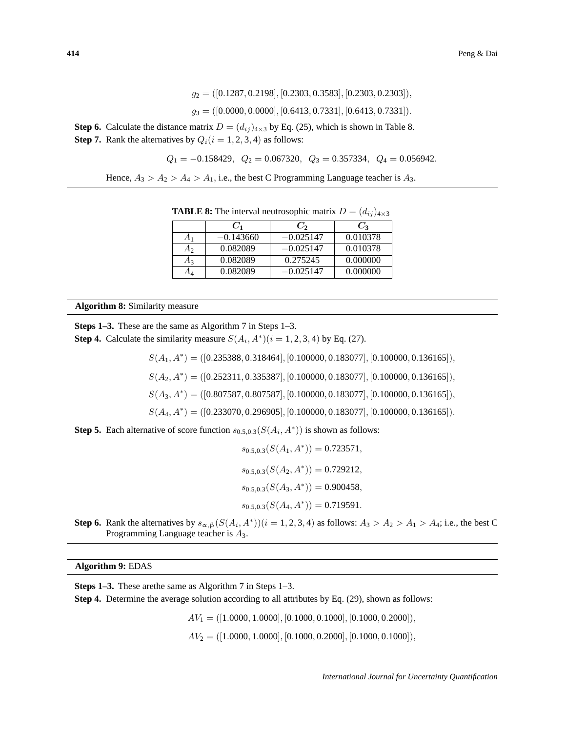$$
g_2 = ([0.1287, 0.2198], [0.2303, 0.3583], [0.2303, 0.2303]),
$$

$$
g_3 = ([0.0000, 0.0000], [0.6413, 0.7331], [0.6413, 0.7331]).
$$

**Step 6.** Calculate the distance matrix  $D = (d_{ij})_{4 \times 3}$  by Eq. (25), which is shown in Table 8. **Step 7.** Rank the alternatives by  $Q_i(i = 1, 2, 3, 4)$  as follows:

$$
Q_1 = -0.158429
$$
,  $Q_2 = 0.067320$ ,  $Q_3 = 0.357334$ ,  $Q_4 = 0.056942$ .

Hence,  $A_3 > A_2 > A_4 > A_1$ , i.e., the best C Programming Language teacher is  $A_3$ .

|                |             |             | $\sqrt{2}$      |
|----------------|-------------|-------------|-----------------|
|                | $C_1$       | $C_2$       | $\mathcal{C}_3$ |
| A <sub>1</sub> | $-0.143660$ | $-0.025147$ | 0.010378        |
| A2             | 0.082089    | $-0.025147$ | 0.010378        |
| $A_3$          | 0.082089    | 0.275245    | 0.000000        |
|                | 0.082089    | $-0.025147$ | 0.000000        |

**TABLE 8:** The interval neutrosophic matrix  $D = (d_{ij})_{4 \times 3}$ 

#### **Algorithm 8:** Similarity measure

**Steps 1–3.** These are the same as Algorithm 7 in Steps 1–3. **Step 4.** Calculate the similarity measure  $S(A_i, A^*)(i = 1, 2, 3, 4)$  by Eq. (27).

 $S(A_1, A^*) = ([0.235388, 0.318464], [0.100000, 0.183077], [0.100000, 0.136165]),$ 

 $S(A_2, A^*) = ([0.252311, 0.335387], [0.100000, 0.183077], [0.100000, 0.136165]),$ 

 $S(A_3, A^*) = ([0.807587, 0.807587], [0.100000, 0.183077], [0.100000, 0.136165]),$ 

 $S(A_4, A^*) = ([0.233070, 0.296905], [0.100000, 0.183077], [0.100000, 0.136165]).$ 

**Step 5.** Each alternative of score function  $s_{0.5,0.3}(S(A_i, A^*))$  is shown as follows:

$$
s_{0.5,0.3}(S(A_1, A^*)) = 0.723571,
$$
  
\n
$$
s_{0.5,0.3}(S(A_2, A^*)) = 0.729212,
$$
  
\n
$$
s_{0.5,0.3}(S(A_3, A^*)) = 0.900458,
$$
  
\n
$$
s_{0.5,0.3}(S(A_4, A^*)) = 0.719591.
$$

**Step 6.** Rank the alternatives by  $s_{\alpha,\beta}(S(A_i, A^*))$  ( $i = 1, 2, 3, 4$ ) as follows:  $A_3 > A_2 > A_1 > A_4$ ; i.e., the best C Programming Language teacher is  $A_3$ .

## **Algorithm 9:** EDAS

**Steps 1–3.** These arethe same as Algorithm 7 in Steps 1–3.

**Step 4.** Determine the average solution according to all attributes by Eq. (29), shown as follows:

 $AV_1 = ([1.0000, 1.0000], [0.1000, 0.1000], [0.1000, 0.2000]),$ 

 $AV_2 = ([1.0000, 1.0000], [0.1000, 0.2000], [0.1000, 0.1000]),$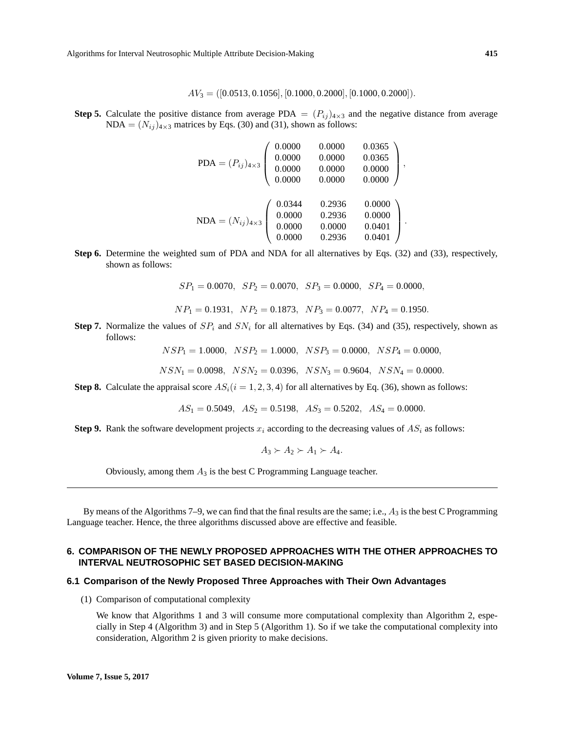Algorithms for Interval Neutrosophic Multiple Attribute Decision-Making **415**

$$
AV_3 = ([0.0513, 0.1056], [0.1000, 0.2000], [0.1000, 0.2000]).
$$

**Step 5.** Calculate the positive distance from average PDA  $= (P_{ij})_{4\times3}$  and the negative distance from average  $NDA = (N_{ij})_{4\times3}$  matrices by Eqs. (30) and (31), shown as follows:

$$
PDA = (P_{ij})_{4\times3} \begin{pmatrix} 0.0000 & 0.0000 & 0.0365 \\ 0.0000 & 0.0000 & 0.0365 \\ 0.0000 & 0.0000 & 0.0000 \\ 0.0000 & 0.0000 & 0.0000 \end{pmatrix},
$$

$$
NDA = (N_{ij})_{4\times3} \begin{pmatrix} 0.0344 & 0.2936 & 0.0000 \\ 0.0000 & 0.2936 & 0.0000 \\ 0.0000 & 0.0000 & 0.0401 \\ 0.0000 & 0.2936 & 0.0401 \end{pmatrix}.
$$

**Step 6.** Determine the weighted sum of PDA and NDA for all alternatives by Eqs. (32) and (33), respectively, shown as follows:

 $SP_1 = 0.0070$ ,  $SP_2 = 0.0070$ ,  $SP_3 = 0.0000$ ,  $SP_4 = 0.0000$ ,

$$
NP_1 = 0.1931
$$
,  $NP_2 = 0.1873$ ,  $NP_3 = 0.0077$ ,  $NP_4 = 0.1950$ .

**Step 7.** Normalize the values of  $SP_i$  and  $SN_i$  for all alternatives by Eqs. (34) and (35), respectively, shown as follows:

 $NSP_1 = 1.0000, NSP_2 = 1.0000, NSP_3 = 0.0000, NSP_4 = 0.0000,$ 

$$
NSN_1=0.0098, \ \ NSN_2=0.0396, \ \ NSN_3=0.9604, \ \ NSN_4=0.0000.
$$

**Step 8.** Calculate the appraisal score  $AS_i(i = 1, 2, 3, 4)$  for all alternatives by Eq. (36), shown as follows:

$$
AS_1 = 0.5049
$$
,  $AS_2 = 0.5198$ ,  $AS_3 = 0.5202$ ,  $AS_4 = 0.0000$ .

**Step 9.** Rank the software development projects  $x_i$  according to the decreasing values of  $AS_i$  as follows:

$$
A_3 \succ A_2 \succ A_1 \succ A_4.
$$

Obviously, among them  $A_3$  is the best C Programming Language teacher.

By means of the Algorithms 7–9, we can find that the final results are the same; i.e.,  $A_3$  is the best C Programming Language teacher. Hence, the three algorithms discussed above are effective and feasible.

## **6. COMPARISON OF THE NEWLY PROPOSED APPROACHES WITH THE OTHER APPROACHES TO INTERVAL NEUTROSOPHIC SET BASED DECISION-MAKING**

## **6.1 Comparison of the Newly Proposed Three Approaches with Their Own Advantages**

(1) Comparison of computational complexity

We know that Algorithms 1 and 3 will consume more computational complexity than Algorithm 2, especially in Step 4 (Algorithm 3) and in Step 5 (Algorithm 1). So if we take the computational complexity into consideration, Algorithm 2 is given priority to make decisions.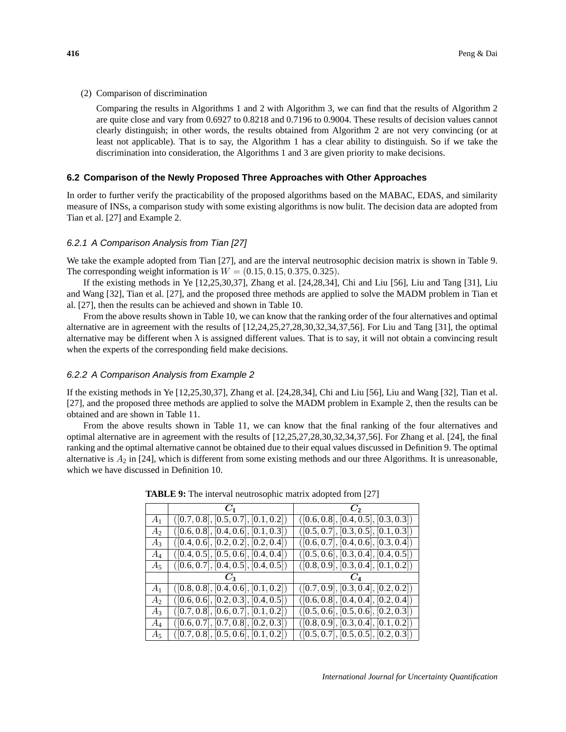(2) Comparison of discrimination

Comparing the results in Algorithms 1 and 2 with Algorithm 3, we can find that the results of Algorithm 2 are quite close and vary from 0.6927 to 0.8218 and 0.7196 to 0.9004. These results of decision values cannot clearly distinguish; in other words, the results obtained from Algorithm 2 are not very convincing (or at least not applicable). That is to say, the Algorithm 1 has a clear ability to distinguish. So if we take the discrimination into consideration, the Algorithms 1 and 3 are given priority to make decisions.

#### **6.2 Comparison of the Newly Proposed Three Approaches with Other Approaches**

In order to further verify the practicability of the proposed algorithms based on the MABAC, EDAS, and similarity measure of INSs, a comparison study with some existing algorithms is now bulit. The decision data are adopted from Tian et al. [27] and Example 2.

#### 6.2.1 A Comparison Analysis from Tian [27]

We take the example adopted from Tian [27], and are the interval neutrosophic decision matrix is shown in Table 9. The corresponding weight information is  $W = (0.15, 0.15, 0.375, 0.325)$ .

If the existing methods in Ye [12,25,30,37], Zhang et al. [24,28,34], Chi and Liu [56], Liu and Tang [31], Liu and Wang [32], Tian et al. [27], and the proposed three methods are applied to solve the MADM problem in Tian et al. [27], then the results can be achieved and shown in Table 10.

From the above results shown in Table 10, we can know that the ranking order of the four alternatives and optimal alternative are in agreement with the results of [12,24,25,27,28,30,32,34,37,56]. For Liu and Tang [31], the optimal alternative may be different when  $\lambda$  is assigned different values. That is to say, it will not obtain a convincing result when the experts of the corresponding field make decisions.

## 6.2.2 A Comparison Analysis from Example 2

If the existing methods in Ye [12,25,30,37], Zhang et al. [24,28,34], Chi and Liu [56], Liu and Wang [32], Tian et al. [27], and the proposed three methods are applied to solve the MADM problem in Example 2, then the results can be obtained and are shown in Table 11.

From the above results shown in Table 11, we can know that the final ranking of the four alternatives and optimal alternative are in agreement with the results of [12,25,27,28,30,32,34,37,56]. For Zhang et al. [24], the final ranking and the optimal alternative cannot be obtained due to their equal values discussed in Definition 9. The optimal alternative is  $A_2$  in [24], which is different from some existing methods and our three Algorithms. It is unreasonable, which we have discussed in Definition 10.

|                | $C_1$                                    | $\mathcal{C}_2$                                   |
|----------------|------------------------------------------|---------------------------------------------------|
| A <sub>1</sub> | ([0.7, 0.8], [0.5, 0.7], [0.1, 0.2])     | ([0.6, 0.8], [0.4, 0.5], [0.3, 0.3])              |
| A <sub>2</sub> | ([0.6, 0.8], [0.4, 0.6], [0.1, 0.3])     | ([0.5, 0.7], [0.3, 0.5], [0.1, 0.3])              |
| $A_3$          | ([0.4, 0.6], [0.2, 0.2], [0.2, 0.4])     | ([0.6, 0.7], [0.4, 0.6], [0.3, 0.4])              |
| $A_4$          | ([0.4, 0.5], [0.5, 0.6], [0.4, 0.4])     | ([0.5, 0.6], [0.3, 0.4], [0.4, 0.5])              |
| $A_5$          | ([0.6, 0.7], [0.4, 0.5], [0.4, 0.5])     | ([0.8, 0.9], [0.3, 0.4], [0.1, 0.2])              |
|                | $C_3$                                    | $C_A$                                             |
| A <sub>1</sub> | ([0.8, 0.8], [0.4, 0.6], [0.1, 0.2])     | $\overline{([0.7, 0.9], [0.3, 0.4], [0.2, 0.2])}$ |
| А,             | (0.6, 0.6], [0.2, 0.3], [0.4, 0.5])      | ([0.6, 0.8], [0.4, 0.4], [0.2, 0.4])              |
| $A_3$          | ([0.7, 0.8], [0.6, 0.7], [0.1, 0.2])     | ([0.5, 0.6], [0.5, 0.6], [0.2, 0.3])              |
| $A_4$          | $( [0.6, 0.7], [0.7, 0.8], [0.2, 0.3] )$ | ([0.8, 0.9], [0.3, 0.4], [0.1, 0.2])              |
| A5             | ([0.7, 0.8], [0.5, 0.6], [0.1, 0.2])     | ([0.5, 0.7], [0.5, 0.5], [0.2, 0.3])              |

**TABLE 9:** The interval neutrosophic matrix adopted from [27]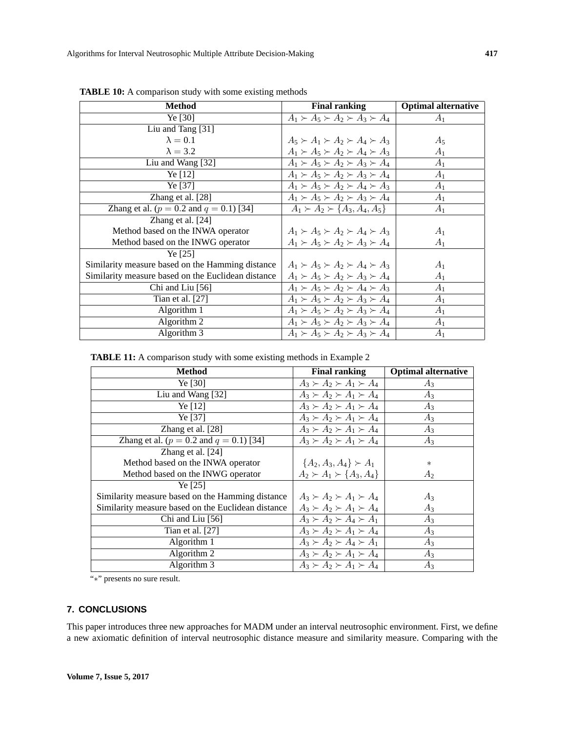| <b>Method</b>                                      | <b>Final ranking</b>                          | <b>Optimal alternative</b> |
|----------------------------------------------------|-----------------------------------------------|----------------------------|
| Ye $[30]$                                          | $A_1 \succ A_5 \succ A_2 \succ A_3 \succ A_4$ | A <sub>1</sub>             |
| Liu and Tang [31]                                  |                                               |                            |
| $\lambda = 0.1$                                    | $A_5 \succ A_1 \succ A_2 \succ A_4 \succ A_3$ | $A_5$                      |
| $\lambda = 3.2$                                    | $A_1 \succ A_5 \succ A_2 \succ A_4 \succ A_3$ | $A_1$                      |
| Liu and Wang [32]                                  | $A_1 \succ A_5 \succ A_2 \succ A_3 \succ A_4$ | $A_1$                      |
| Ye [12]                                            | $A_1 \succ A_5 \succ A_2 \succ A_3 \succ A_4$ | $A_1$                      |
| Ye [37]                                            | $A_1 \succ A_5 \succ A_2 \succ A_4 \succ A_3$ | $A_1$                      |
| Zhang et al. [28]                                  | $A_1 \succ A_5 \succ A_2 \succ A_3 \succ A_4$ | A <sub>1</sub>             |
| Zhang et al. ( $p = 0.2$ and $q = 0.1$ ) [34]      | $A_1 \succ A_2 \succ \{A_3, A_4, A_5\}$       | A <sub>1</sub>             |
| Zhang et al. [24]                                  |                                               |                            |
| Method based on the INWA operator                  | $A_1 \succ A_5 \succ A_2 \succ A_4 \succ A_3$ | A <sub>1</sub>             |
| Method based on the INWG operator                  | $A_1 \succ A_5 \succ A_2 \succ A_3 \succ A_4$ | $A_1$                      |
| Ye $[25]$                                          |                                               |                            |
| Similarity measure based on the Hamming distance   | $A_1 \succ A_5 \succ A_2 \succ A_4 \succ A_3$ | $A_1$                      |
| Similarity measure based on the Euclidean distance | $A_1 \succ A_5 \succ A_2 \succ A_3 \succ A_4$ | A <sub>1</sub>             |
| Chi and Liu [56]                                   | $A_1 \succ A_5 \succ A_2 \succ A_4 \succ A_3$ | $A_1$                      |
| Tian et al. $[27]$                                 | $A_1 \succ A_5 \succ A_2 \succ A_3 \succ A_4$ | A <sub>1</sub>             |
| Algorithm 1                                        | $A_1 \succ A_5 \succ A_2 \succ A_3 \succ A_4$ | A <sub>1</sub>             |
| Algorithm 2                                        | $A_1 \succ A_5 \succ A_2 \succ A_3 \succ A_4$ | A <sub>1</sub>             |
| Algorithm 3                                        | $A_1 \succ A_5 \succ A_2 \succ A_3 \succ A_4$ | $A_1$                      |

**TABLE 10:** A comparison study with some existing methods

**TABLE 11:** A comparison study with some existing methods in Example 2

| <b>Method</b>                                      | <b>Final ranking</b>                | <b>Optimal alternative</b> |
|----------------------------------------------------|-------------------------------------|----------------------------|
| Ye $[30]$                                          | $A_3 \succ A_2 \succ A_1 \succ A_4$ | $A_3$                      |
| Liu and Wang [32]                                  | $A_3 \succ A_2 \succ A_1 \succ A_4$ | $A_3$                      |
| Ye $[12]$                                          | $A_3 \succ A_2 \succ A_1 \succ A_4$ | $A_3$                      |
| Ye [37]                                            | $A_3 \succ A_2 \succ A_1 \succ A_4$ | $A_3$                      |
| Zhang et al. $[28]$                                | $A_3 \succ A_2 \succ A_1 \succ A_4$ | $A_3$                      |
| Zhang et al. ( $p = 0.2$ and $q = 0.1$ ) [34]      | $A_3 \succ A_2 \succ A_1 \succ A_4$ | $A_3$                      |
| Zhang et al. $[24]$                                |                                     |                            |
| Method based on the INWA operator                  | ${A_2, A_3, A_4} \succ A_1$         | $\ast$                     |
| Method based on the INWG operator                  | $A_2 \succ A_1 \succ \{A_3, A_4\}$  | $A_2$                      |
| Ye [25]                                            |                                     |                            |
| Similarity measure based on the Hamming distance   | $A_3 \succ A_2 \succ A_1 \succ A_4$ | $A_3$                      |
| Similarity measure based on the Euclidean distance | $A_3 \succ A_2 \succ A_1 \succ A_4$ | $A_3$                      |
| Chi and Liu [56]                                   | $A_3 \succ A_2 \succ A_4 \succ A_1$ | $A_3$                      |
| Tian et al. $[27]$                                 | $A_3 \succ A_2 \succ A_1 \succ A_4$ | $A_3$                      |
| Algorithm 1                                        | $A_3 \succ A_2 \succ A_4 \succ A_1$ | $A_3$                      |
| Algorithm 2                                        | $A_3 \succ A_2 \succ A_1 \succ A_4$ | $A_3$                      |
| Algorithm 3                                        | $A_3 \succ A_2 \succ A_1 \succ A_4$ | $A_3$                      |

"∗" presents no sure result.

## **7. CONCLUSIONS**

This paper introduces three new approaches for MADM under an interval neutrosophic environment. First, we define a new axiomatic definition of interval neutrosophic distance measure and similarity measure. Comparing with the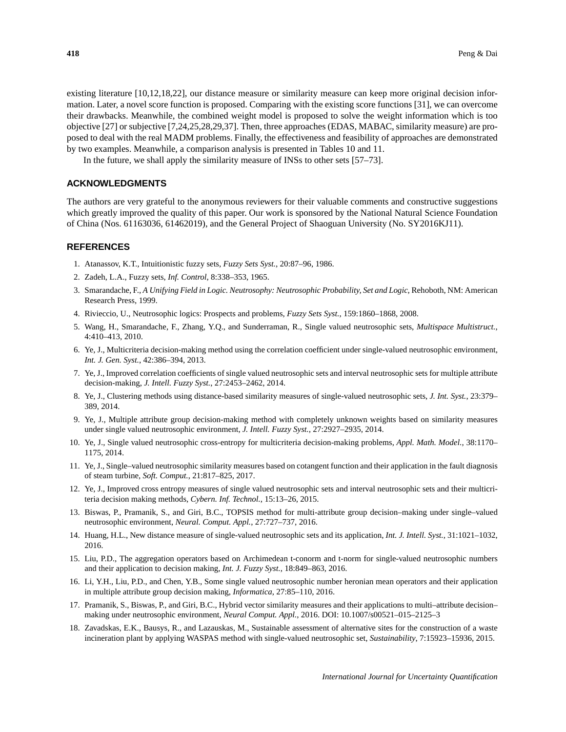existing literature [10,12,18,22], our distance measure or similarity measure can keep more original decision information. Later, a novel score function is proposed. Comparing with the existing score functions [31], we can overcome their drawbacks. Meanwhile, the combined weight model is proposed to solve the weight information which is too objective [27] or subjective [7,24,25,28,29,37]. Then, three approaches (EDAS, MABAC, similarity measure) are proposed to deal with the real MADM problems. Finally, the effectiveness and feasibility of approaches are demonstrated by two examples. Meanwhile, a comparison analysis is presented in Tables 10 and 11.

In the future, we shall apply the similarity measure of INSs to other sets [57–73].

## **ACKNOWLEDGMENTS**

The authors are very grateful to the anonymous reviewers for their valuable comments and constructive suggestions which greatly improved the quality of this paper. Our work is sponsored by the National Natural Science Foundation of China (Nos. 61163036, 61462019), and the General Project of Shaoguan University (No. SY2016KJ11).

## **REFERENCES**

- 1. Atanassov, K.T., Intuitionistic fuzzy sets, *Fuzzy Sets Syst.*, 20:87–96, 1986.
- 2. Zadeh, L.A., Fuzzy sets, *Inf. Control*, 8:338–353, 1965.
- 3. Smarandache, F., *A Unifying Field in Logic. Neutrosophy: Neutrosophic Probability, Set and Logic*, Rehoboth, NM: American Research Press, 1999.
- 4. Rivieccio, U., Neutrosophic logics: Prospects and problems, *Fuzzy Sets Syst.*, 159:1860–1868, 2008.
- 5. Wang, H., Smarandache, F., Zhang, Y.Q., and Sunderraman, R., Single valued neutrosophic sets, *Multispace Multistruct.*, 4:410–413, 2010.
- 6. Ye, J., Multicriteria decision-making method using the correlation coefficient under single-valued neutrosophic environment, *Int. J. Gen. Syst.*, 42:386–394, 2013.
- 7. Ye, J., Improved correlation coefficients of single valued neutrosophic sets and interval neutrosophic sets for multiple attribute decision-making, *J. Intell. Fuzzy Syst.*, 27:2453–2462, 2014.
- 8. Ye, J., Clustering methods using distance-based similarity measures of single-valued neutrosophic sets, *J. Int. Syst.*, 23:379– 389, 2014.
- 9. Ye, J., Multiple attribute group decision-making method with completely unknown weights based on similarity measures under single valued neutrosophic environment, *J. Intell. Fuzzy Syst.*, 27:2927–2935, 2014.
- 10. Ye, J., Single valued neutrosophic cross-entropy for multicriteria decision-making problems, *Appl. Math. Model.*, 38:1170– 1175, 2014.
- 11. Ye, J., Single–valued neutrosophic similarity measures based on cotangent function and their application in the fault diagnosis of steam turbine, *Soft. Comput.*, 21:817–825, 2017.
- 12. Ye, J., Improved cross entropy measures of single valued neutrosophic sets and interval neutrosophic sets and their multicriteria decision making methods, *Cybern. Inf. Technol.*, 15:13–26, 2015.
- 13. Biswas, P., Pramanik, S., and Giri, B.C., TOPSIS method for multi-attribute group decision–making under single–valued neutrosophic environment, *Neural. Comput. Appl.*, 27:727–737, 2016.
- 14. Huang, H.L., New distance measure of single-valued neutrosophic sets and its application, *Int. J. Intell. Syst.*, 31:1021–1032, 2016.
- 15. Liu, P.D., The aggregation operators based on Archimedean t-conorm and t-norm for single-valued neutrosophic numbers and their application to decision making, *Int. J. Fuzzy Syst.*, 18:849–863, 2016.
- 16. Li, Y.H., Liu, P.D., and Chen, Y.B., Some single valued neutrosophic number heronian mean operators and their application in multiple attribute group decision making, *Informatica*, 27:85–110, 2016.
- 17. Pramanik, S., Biswas, P., and Giri, B.C., Hybrid vector similarity measures and their applications to multi–attribute decision– making under neutrosophic environment, *Neural Comput. Appl.*, 2016. DOI: 10.1007/s00521–015–2125–3
- 18. Zavadskas, E.K., Bausys, R., and Lazauskas, M., Sustainable assessment of alternative sites for the construction of a waste incineration plant by applying WASPAS method with single-valued neutrosophic set, *Sustainability*, 7:15923–15936, 2015.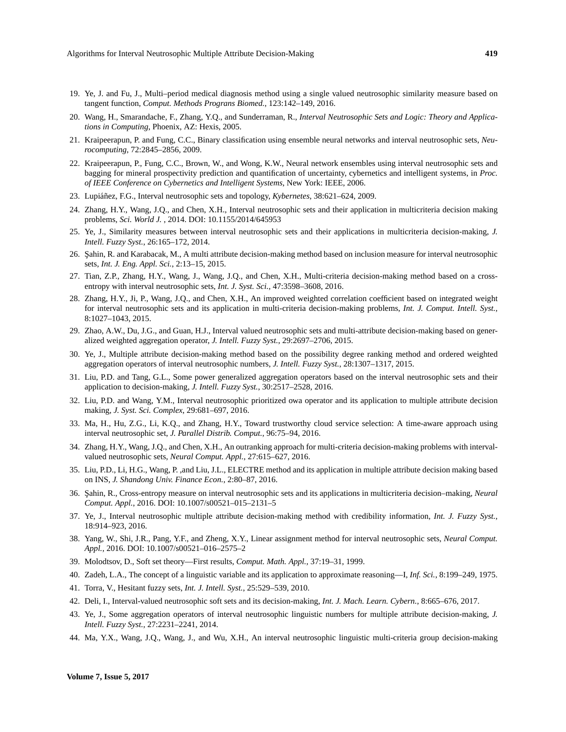- 19. Ye, J. and Fu, J., Multi–period medical diagnosis method using a single valued neutrosophic similarity measure based on tangent function, *Comput. Methods Prograns Biomed.*, 123:142–149, 2016.
- 20. Wang, H., Smarandache, F., Zhang, Y.Q., and Sunderraman, R., *Interval Neutrosophic Sets and Logic: Theory and Applications in Computing*, Phoenix, AZ: Hexis, 2005.
- 21. Kraipeerapun, P. and Fung, C.C., Binary classification using ensemble neural networks and interval neutrosophic sets, *Neurocomputing*, 72:2845–2856, 2009.
- 22. Kraipeerapun, P., Fung, C.C., Brown, W., and Wong, K.W., Neural network ensembles using interval neutrosophic sets and bagging for mineral prospectivity prediction and quantification of uncertainty, cybernetics and intelligent systems, in *Proc. of IEEE Conference on Cybernetics and Intelligent Systems*, New York: IEEE, 2006.
- 23. Lupiáñez, F.G., Interval neutrosophic sets and topology, *Kybernetes*, 38:621–624, 2009.
- 24. Zhang, H.Y., Wang, J.Q., and Chen, X.H., Interval neutrosophic sets and their application in multicriteria decision making problems, *Sci. World J.* , 2014. DOI: 10.1155/2014/645953
- 25. Ye, J., Similarity measures between interval neutrosophic sets and their applications in multicriteria decision-making, *J. Intell. Fuzzy Syst.*, 26:165–172, 2014.
- 26. Sahin, R. and Karabacak, M., A multi attribute decision-making method based on inclusion measure for interval neutrosophic sets, *Int. J. Eng. Appl. Sci.*, 2:13–15, 2015.
- 27. Tian, Z.P., Zhang, H.Y., Wang, J., Wang, J.Q., and Chen, X.H., Multi-criteria decision-making method based on a crossentropy with interval neutrosophic sets, *Int. J. Syst. Sci.*, 47:3598–3608, 2016.
- 28. Zhang, H.Y., Ji, P., Wang, J.Q., and Chen, X.H., An improved weighted correlation coefficient based on integrated weight for interval neutrosophic sets and its application in multi-criteria decision-making problems, *Int. J. Comput. Intell. Syst.*, 8:1027–1043, 2015.
- 29. Zhao, A.W., Du, J.G., and Guan, H.J., Interval valued neutrosophic sets and multi-attribute decision-making based on generalized weighted aggregation operator, *J. Intell. Fuzzy Syst.*, 29:2697–2706, 2015.
- 30. Ye, J., Multiple attribute decision-making method based on the possibility degree ranking method and ordered weighted aggregation operators of interval neutrosophic numbers, *J. Intell. Fuzzy Syst.*, 28:1307–1317, 2015.
- 31. Liu, P.D. and Tang, G.L., Some power generalized aggregation operators based on the interval neutrosophic sets and their application to decision-making, *J. Intell. Fuzzy Syst.*, 30:2517–2528, 2016.
- 32. Liu, P.D. and Wang, Y.M., Interval neutrosophic prioritized owa operator and its application to multiple attribute decision making, *J. Syst. Sci. Complex*, 29:681–697, 2016.
- 33. Ma, H., Hu, Z.G., Li, K.Q., and Zhang, H.Y., Toward trustworthy cloud service selection: A time-aware approach using interval neutrosophic set, *J. Parallel Distrib. Comput.*, 96:75–94, 2016.
- 34. Zhang, H.Y., Wang, J.Q., and Chen, X.H., An outranking approach for multi-criteria decision-making problems with intervalvalued neutrosophic sets, *Neural Comput. Appl.*, 27:615–627, 2016.
- 35. Liu, P.D., Li, H.G., Wang, P. ,and Liu, J.L., ELECTRE method and its application in multiple attribute decision making based on INS, *J. Shandong Univ. Finance Econ.*, 2:80–87, 2016.
- 36. S¸ahin, R., Cross-entropy measure on interval neutrosophic sets and its applications in multicriteria decision–making, *Neural Comput. Appl.*, 2016. DOI: 10.1007/s00521–015–2131–5
- 37. Ye, J., Interval neutrosophic multiple attribute decision-making method with credibility information, *Int. J. Fuzzy Syst.*, 18:914–923, 2016.
- 38. Yang, W., Shi, J.R., Pang, Y.F., and Zheng, X.Y., Linear assignment method for interval neutrosophic sets, *Neural Comput. Appl.*, 2016. DOI: 10.1007/s00521–016–2575–2
- 39. Molodtsov, D., Soft set theory—First results, *Comput. Math. Appl.*, 37:19–31, 1999.
- 40. Zadeh, L.A., The concept of a linguistic variable and its application to approximate reasoning—I, *Inf. Sci.*, 8:199–249, 1975.
- 41. Torra, V., Hesitant fuzzy sets, *Int. J. Intell. Syst.*, 25:529–539, 2010.
- 42. Deli, I., Interval-valued neutrosophic soft sets and its decision-making, *Int. J. Mach. Learn. Cybern.*, 8:665–676, 2017.
- 43. Ye, J., Some aggregation operators of interval neutrosophic linguistic numbers for multiple attribute decision-making, *J. Intell. Fuzzy Syst.*, 27:2231–2241, 2014.
- 44. Ma, Y.X., Wang, J.Q., Wang, J., and Wu, X.H., An interval neutrosophic linguistic multi-criteria group decision-making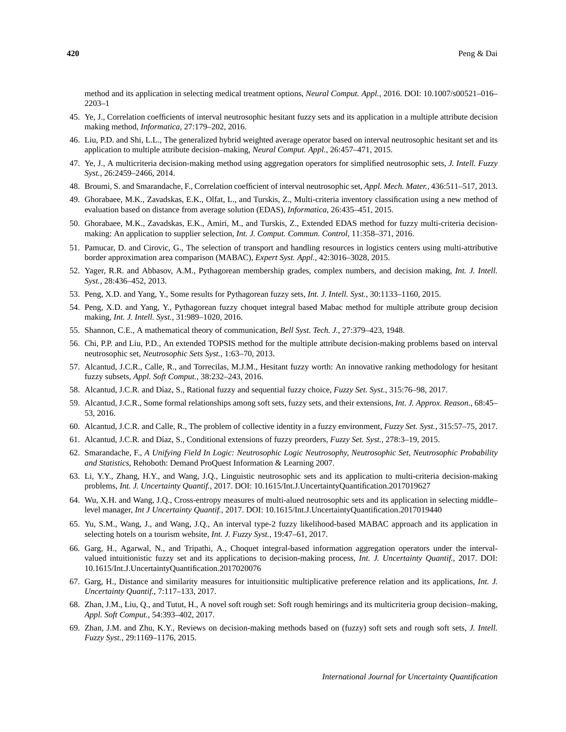method and its application in selecting medical treatment options, *Neural Comput. Appl.*, 2016. DOI: 10.1007/s00521–016– 2203–1

- 45. Ye, J., Correlation coefficients of interval neutrosophic hesitant fuzzy sets and its application in a multiple attribute decision making method, *Informatica*, 27:179–202, 2016.
- 46. Liu, P.D. and Shi, L.L., The generalized hybrid weighted average operator based on interval neutrosophic hesitant set and its application to multiple attribute decision–making, *Neural Comput. Appl.*, 26:457–471, 2015.
- 47. Ye, J., A multicriteria decision-making method using aggregation operators for simplified neutrosophic sets, *J. Intell. Fuzzy Syst.*, 26:2459–2466, 2014.
- 48. Broumi, S. and Smarandache, F., Correlation coefficient of interval neutrosophic set, *Appl. Mech. Mater.*, 436:511–517, 2013.
- 49. Ghorabaee, M.K., Zavadskas, E.K., Olfat, L., and Turskis, Z., Multi-criteria inventory classification using a new method of evaluation based on distance from average solution (EDAS), *Informatica*, 26:435–451, 2015.
- 50. Ghorabaee, M.K., Zavadskas, E.K., Amiri, M., and Turskis, Z., Extended EDAS method for fuzzy multi-criteria decisionmaking: An application to supplier selection, *Int. J. Comput. Commun. Control*, 11:358–371, 2016.
- 51. Pamucar, D. and Cirovic, G., The selection of transport and handling resources in logistics centers using multi-attributive border approximation area comparison (MABAC), *Expert Syst. Appl.*, 42:3016–3028, 2015.
- 52. Yager, R.R. and Abbasov, A.M., Pythagorean membership grades, complex numbers, and decision making, *Int. J. Intell. Syst.*, 28:436–452, 2013.
- 53. Peng, X.D. and Yang, Y., Some results for Pythagorean fuzzy sets, *Int. J. Intell. Syst.*, 30:1133–1160, 2015.
- 54. Peng, X.D. and Yang, Y., Pythagorean fuzzy choquet integral based Mabac method for multiple attribute group decision making, *Int. J. Intell. Syst.*, 31:989–1020, 2016.
- 55. Shannon, C.E., A mathematical theory of communication, *Bell Syst. Tech. J.*, 27:379–423, 1948.
- 56. Chi, P.P. and Liu, P.D., An extended TOPSIS method for the multiple attribute decision-making problems based on interval neutrosophic set, *Neutrosophic Sets Syst.*, 1:63–70, 2013.
- 57. Alcantud, J.C.R., Calle, R., and Torrecilas, M.J.M., Hesitant fuzzy worth: An innovative ranking methodology for hesitant fuzzy subsets, *Appl. Soft Comput.*, 38:232–243, 2016.
- 58. Alcantud, J.C.R. and D´ıaz, S., Rational fuzzy and sequential fuzzy choice, *Fuzzy Set. Syst.*, 315:76–98, 2017.
- 59. Alcantud, J.C.R., Some formal relationships among soft sets, fuzzy sets, and their extensions, *Int. J. Approx. Reason.*, 68:45– 53, 2016.
- 60. Alcantud, J.C.R. and Calle, R., The problem of collective identity in a fuzzy environment, *Fuzzy Set. Syst.*, 315:57–75, 2017.
- 61. Alcantud, J.C.R. and D´ıaz, S., Conditional extensions of fuzzy preorders, *Fuzzy Set. Syst.*, 278:3–19, 2015.
- 62. Smarandache, F., *A Unifying Field In Logic: Neutrosophic Logic Neutrosophy, Neutrosophic Set, Neutrosophic Probability and Statistics*, Rehoboth: Demand ProQuest Information & Learning 2007.
- 63. Li, Y.Y., Zhang, H.Y., and Wang, J.Q., Linguistic neutrosophic sets and its application to multi-criteria decision-making problems, *Int. J. Uncertainty Quantif.*, 2017. DOI: 10.1615/Int.J.UncertaintyQuantification.2017019627
- 64. Wu, X.H. and Wang, J.Q., Cross-entropy measures of multi-alued neutrosophic sets and its application in selecting middle– level manager, *Int J Uncertainty Quantif.*, 2017. DOI: 10.1615/Int.J.UncertaintyQuantification.2017019440
- 65. Yu, S.M., Wang, J., and Wang, J.Q., An interval type-2 fuzzy likelihood-based MABAC approach and its application in selecting hotels on a tourism website, *Int. J. Fuzzy Syst.*, 19:47–61, 2017.
- 66. Garg, H., Agarwal, N., and Tripathi, A., Choquet integral-based information aggregation operators under the intervalvalued intuitionistic fuzzy set and its applications to decision-making process, *Int. J. Uncertainty Quantif.*, 2017. DOI: 10.1615/Int.J.UncertaintyQuantification.2017020076
- 67. Garg, H., Distance and similarity measures for intuitionsitic multiplicative preference relation and its applications, *Int. J. Uncertainty Quantif.*, 7:117–133, 2017.
- 68. Zhan, J.M., Liu, Q., and Tutut, H., A novel soft rough set: Soft rough hemirings and its multicriteria group decision–making, *Appl. Soft Comput.*, 54:393–402, 2017.
- 69. Zhan, J.M. and Zhu, K.Y., Reviews on decision-making methods based on (fuzzy) soft sets and rough soft sets, *J. Intell. Fuzzy Syst.*, 29:1169–1176, 2015.